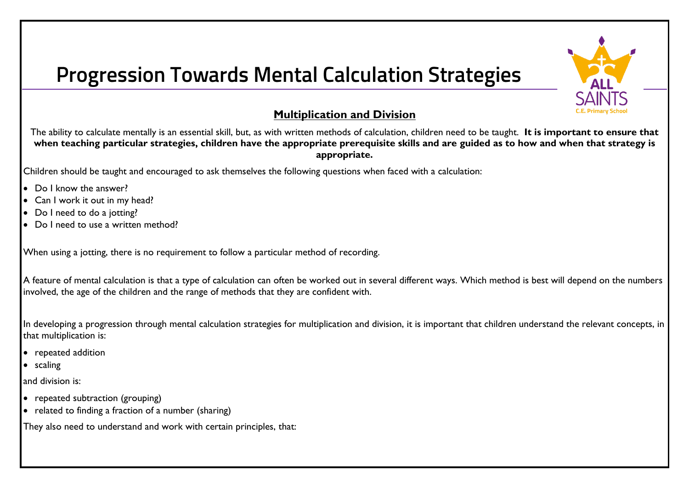# **Progression Towards Mental Calculation Strategies**



# **Multiplication and Division**

The ability to calculate mentally is an essential skill, but, as with written methods of calculation, children need to be taught. **It is important to ensure that when teaching particular strategies, children have the appropriate prerequisite skills and are guided as to how and when that strategy is appropriate.**

Children should be taught and encouraged to ask themselves the following questions when faced with a calculation:

- Do I know the answer?
- Can I work it out in my head?
- Do I need to do a jotting?
- Do I need to use a written method?

When using a jotting, there is no requirement to follow a particular method of recording.

A feature of mental calculation is that a type of calculation can often be worked out in several different ways. Which method is best will depend on the numbers involved, the age of the children and the range of methods that they are confident with.

In developing a progression through mental calculation strategies for multiplication and division, it is important that children understand the relevant concepts, in that multiplication is:

- repeated addition
- scaling

and division is:

- repeated subtraction (grouping)
- related to finding a fraction of a number (sharing)

They also need to understand and work with certain principles, that: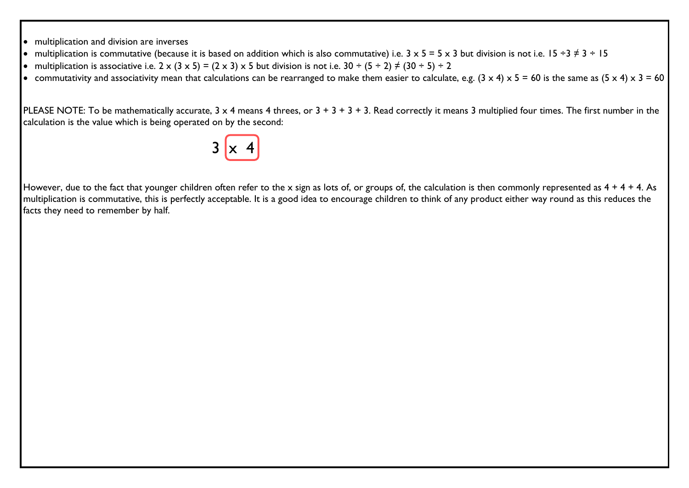- multiplication and division are inverses
- multiplication is commutative (because it is based on addition which is also commutative) i.e.  $3 \times 5 = 5 \times 3$  but division is not i.e.  $15 \div 3 \neq 3 \div 15$
- multiplication is associative i.e.  $2 \times (3 \times 5) = (2 \times 3) \times 5$  but division is not i.e.  $30 \div (5 \div 2) \neq (30 \div 5) \div 2$

• commutativity and associativity mean that calculations can be rearranged to make them easier to calculate, e.g.  $(3 \times 4) \times 5 = 60$  is the same as  $(5 \times 4) \times 3 = 60$ 

PLEASE NOTE: To be mathematically accurate,  $3 \times 4$  means 4 threes, or  $3 + 3 + 3 + 3$ . Read correctly it means 3 multiplied four times. The first number in the calculation is the value which is being operated on by the second:

 $3 \times 4$ 

However, due to the fact that younger children often refer to the x sign as lots of, or groups of, the calculation is then commonly represented as  $4 + 4 + 4$ . As multiplication is commutative, this is perfectly acceptable. It is a good idea to encourage children to think of any product either way round as this reduces the facts they need to remember by half.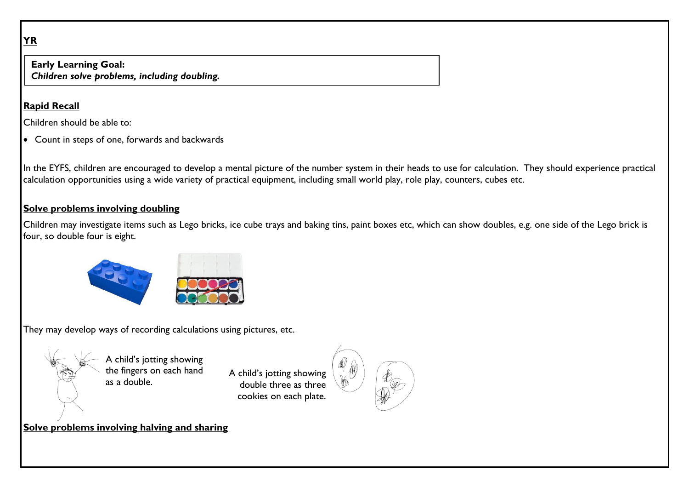## **YR**

**Early Learning Goal:** *Children solve problems, including doubling.*

#### **Rapid Recall**

Children should be able to:

• Count in steps of one, forwards and backwards

In the EYFS, children are encouraged to develop a mental picture of the number system in their heads to use for calculation. They should experience practical calculation opportunities using a wide variety of practical equipment, including small world play, role play, counters, cubes etc.

## **Solve problems involving doubling**

Children may investigate items such as Lego bricks, ice cube trays and baking tins, paint boxes etc, which can show doubles, e.g. one side of the Lego brick is four, so double four is eight.



They may develop ways of recording calculations using pictures, etc.



A child's jotting showing the fingers on each hand as a double.

A child's jotting showing double three as three cookies on each plate.



**Solve problems involving halving and sharing**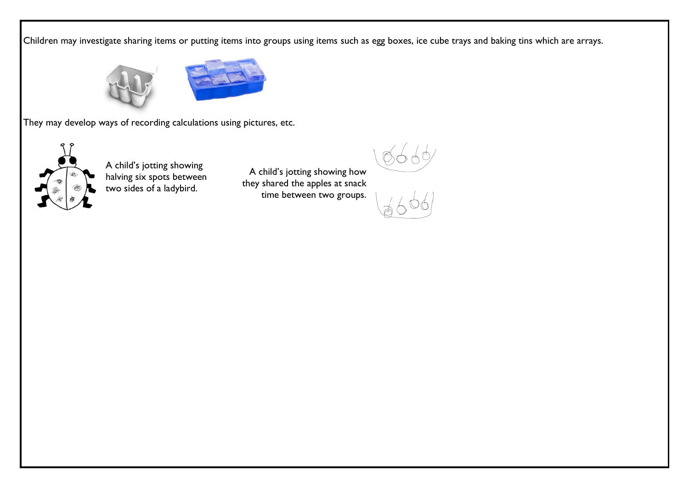Children may investigate sharing items or putting items into groups using items such as egg boxes, ice cube trays and baking tins which are arrays.



They may develop ways of recording calculations using pictures, etc.



A child's jotting showing halving six spots between two sides of a ladybird.

A child's jotting showing how they shared the apples at snack time between two groups.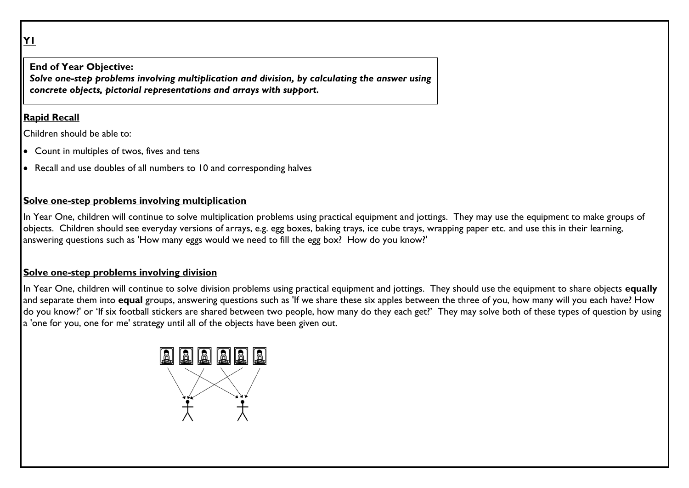**Y1**

#### **End of Year Objective:**

*Solve one-step problems involving multiplication and division, by calculating the answer using concrete objects, pictorial representations and arrays with support.*

## **Rapid Recall**

Children should be able to:

- Count in multiples of twos, fives and tens
- Recall and use doubles of all numbers to 10 and corresponding halves

# **Solve one-step problems involving multiplication**

In Year One, children will continue to solve multiplication problems using practical equipment and jottings. They may use the equipment to make groups of objects. Children should see everyday versions of arrays, e.g. egg boxes, baking trays, ice cube trays, wrapping paper etc. and use this in their learning, answering questions such as 'How many eggs would we need to fill the egg box? How do you know?'

# **Solve one-step problems involving division**

In Year One, children will continue to solve division problems using practical equipment and jottings. They should use the equipment to share objects **equally** and separate them into **equal** groups, answering questions such as 'If we share these six apples between the three of you, how many will you each have? How do you know?' or 'If six football stickers are shared between two people, how many do they each get?' They may solve both of these types of question by using a 'one for you, one for me' strategy until all of the objects have been given out.

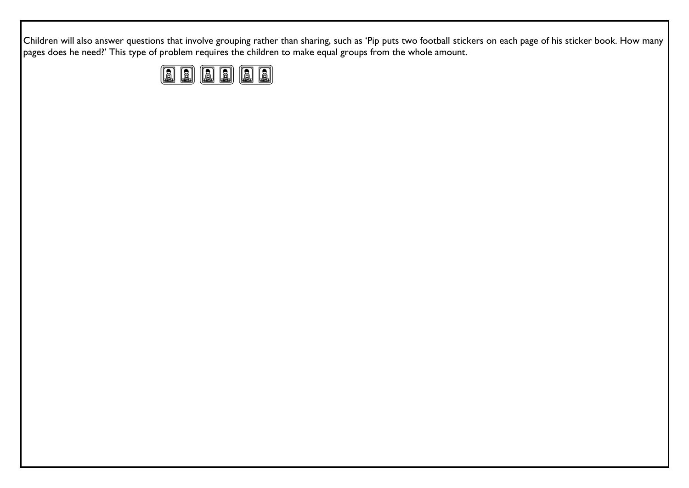Children will also answer questions that involve grouping rather than sharing, such as 'Pip puts two football stickers on each page of his sticker book. How many pages does he need?' This type of problem requires the children to make equal groups from the whole amount.

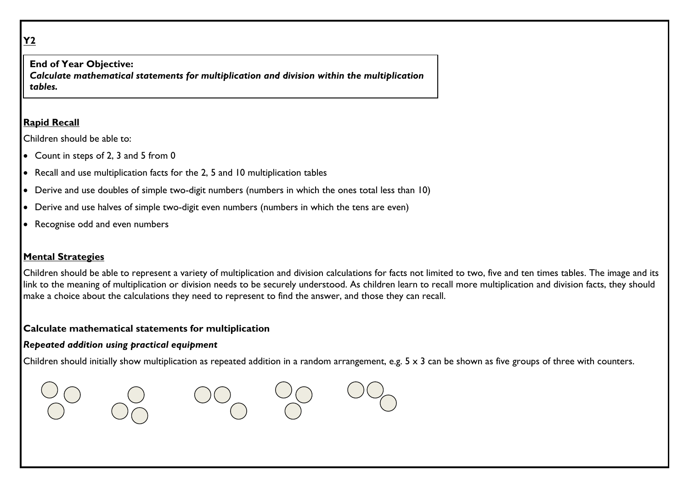#### **Y2**

#### **End of Year Objective:**

*Calculate mathematical statements for multiplication and division within the multiplication tables.*

#### **Rapid Recall**

Children should be able to:

- Count in steps of 2, 3 and 5 from 0
- Recall and use multiplication facts for the 2, 5 and 10 multiplication tables
- Derive and use doubles of simple two-digit numbers (numbers in which the ones total less than 10)
- Derive and use halves of simple two-digit even numbers (numbers in which the tens are even)
- Recognise odd and even numbers

## **Mental Strategies**

Children should be able to represent a variety of multiplication and division calculations for facts not limited to two, five and ten times tables. The image and its link to the meaning of multiplication or division needs to be securely understood. As children learn to recall more multiplication and division facts, they should make a choice about the calculations they need to represent to find the answer, and those they can recall.

#### **Calculate mathematical statements for multiplication**

#### *Repeated addition using practical equipment*

Children should initially show multiplication as repeated addition in a random arrangement, e.g.  $5 \times 3$  can be shown as five groups of three with counters.

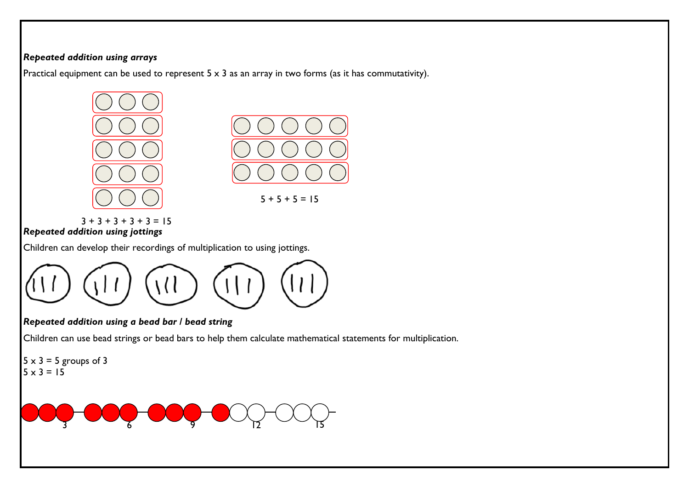## *Repeated addition using arrays*

Practical equipment can be used to represent  $5 \times 3$  as an array in two forms (as it has commutativity).





```
5 + 5 + 5 = 15
```
#### *Repeated addition using jottings*  $3 + 3 + 3 + 3 + 3 = 15$

Children can develop their recordings of multiplication to using jottings.



## *Repeated addition using a bead bar / bead string*

Children can use bead strings or bead bars to help them calculate mathematical statements for multiplication.

 $5 \times 3 = 5$  groups of 3  $5 \times 3 = 15$ 

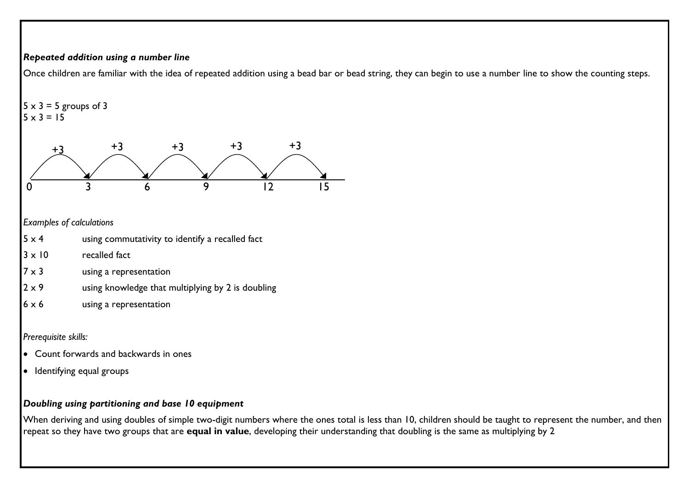#### *Repeated addition using a number line*

Once children are familiar with the idea of repeated addition using a bead bar or bead string, they can begin to use a number line to show the counting steps.



#### *Examples of calculations*

- $5 \times 4$  using commutativity to identify a recalled fact
- $3 \times 10$  recalled fact
- $7 \times 3$  using a representation
- $2 \times 9$  using knowledge that multiplying by 2 is doubling
- $6 \times 6$  using a representation

## *Prerequisite skills:*

- Count forwards and backwards in ones
- Identifying equal groups

# *Doubling using partitioning and base 10 equipment*

When deriving and using doubles of simple two-digit numbers where the ones total is less than 10, children should be taught to represent the number, and then repeat so they have two groups that are **equal in value**, developing their understanding that doubling is the same as multiplying by 2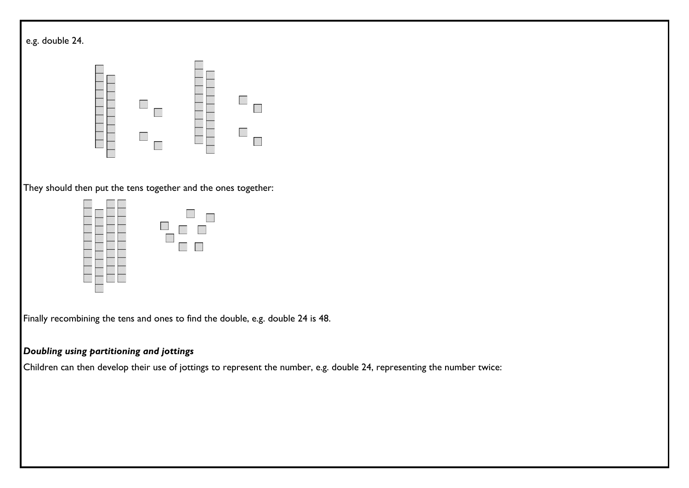

# Children can then develop their use of jottings to represent the number, e.g. double 24, representing the number twice: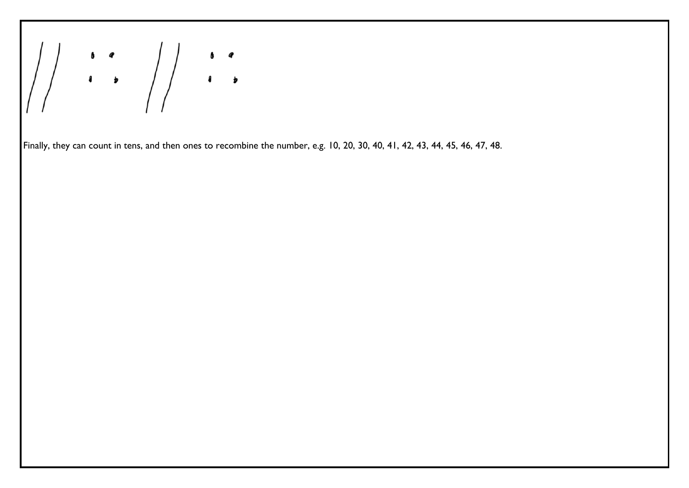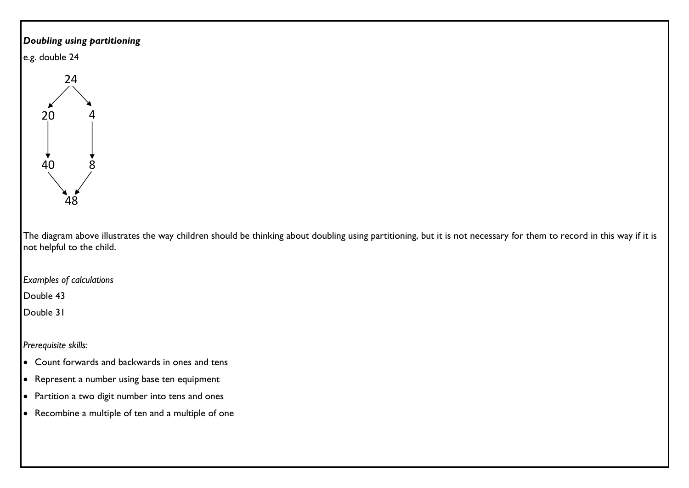

The diagram above illustrates the way children should be thinking about doubling using partitioning, but it is not necessary for them to record in this way if it is

- 
- 
- 
- 
-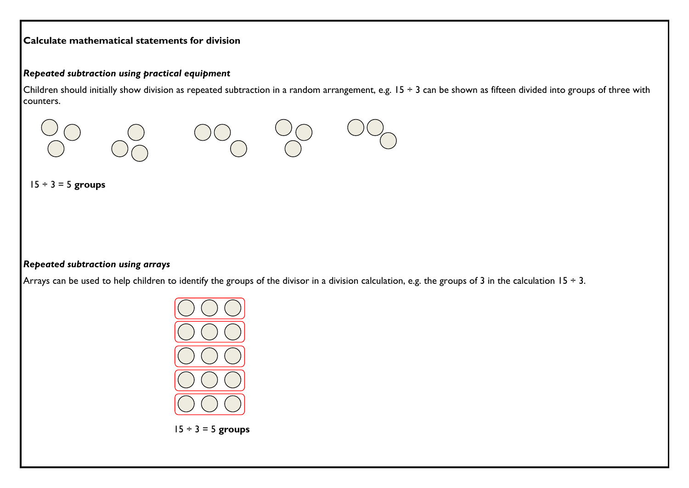## **Calculate mathematical statements for division**

#### *Repeated subtraction using practical equipment*

Children should initially show division as repeated subtraction in a random arrangement, e.g.  $15 \div 3$  can be shown as fifteen divided into groups of three with counters.





15 ÷ 3 = 5 **groups**

#### *Repeated subtraction using arrays*

Arrays can be used to help children to identify the groups of the divisor in a division calculation, e.g. the groups of 3 in the calculation 15  $\div$  3.



15 ÷ 3 = 5 **groups**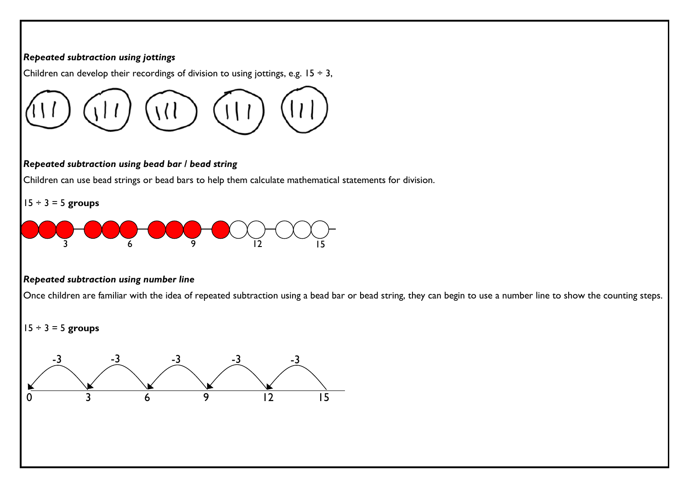#### *Repeated subtraction using jottings*

Children can develop their recordings of division to using jottings, e.g.  $15 \div 3$ ,



15 ÷ 3 = 5 **groups**



#### *Repeated subtraction using number line*

Once children are familiar with the idea of repeated subtraction using a bead bar or bead string, they can begin to use a number line to show the counting steps.

15 ÷ 3 = 5 **groups**

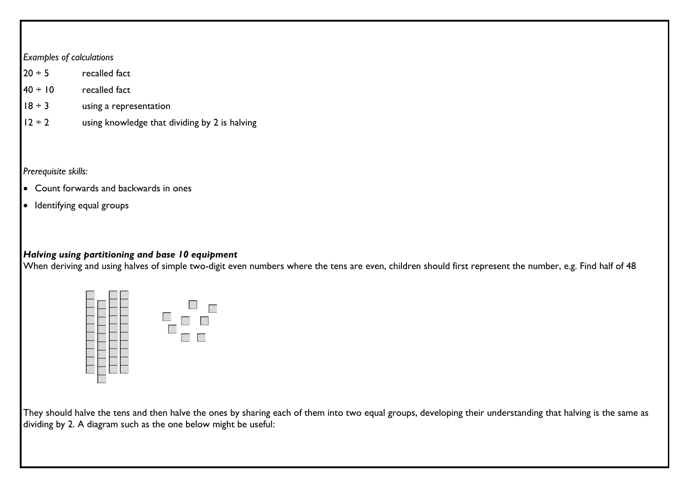#### *Examples of calculations*

- $20 \div 5$  recalled fact
- $40 \div 10$  recalled fact
- $18 \div 3$  using a representation
- $12 \div 2$  using knowledge that dividing by 2 is halving

*Prerequisite skills:*

- Count forwards and backwards in ones
- Identifying equal groups

## *Halving using partitioning and base 10 equipment*

When deriving and using halves of simple two-digit even numbers where the tens are even, children should first represent the number, e.g. Find half of 48



They should halve the tens and then halve the ones by sharing each of them into two equal groups, developing their understanding that halving is the same as dividing by 2. A diagram such as the one below might be useful: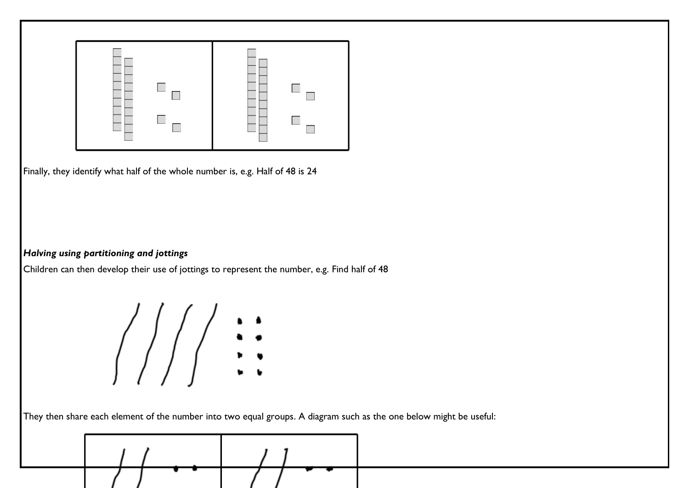

Finally, they identify what half of the whole number is, e.g. Half of 48 is 24

#### *Halving using partitioning and jottings*

Children can then develop their use of jottings to represent the number, e.g. Find half of 48



They then share each element of the number into two equal groups. A diagram such as the one below might be useful:

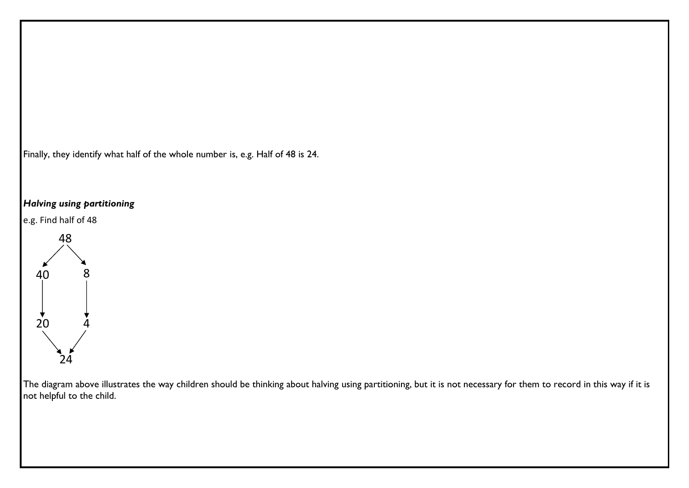Finally, they identify what half of the whole number is, e.g. Half of 48 is 24.

#### *Halving using partitioning*

e.g. Find half of 48



The diagram above illustrates the way children should be thinking about halving using partitioning, but it is not necessary for them to record in this way if it is not helpful to the child.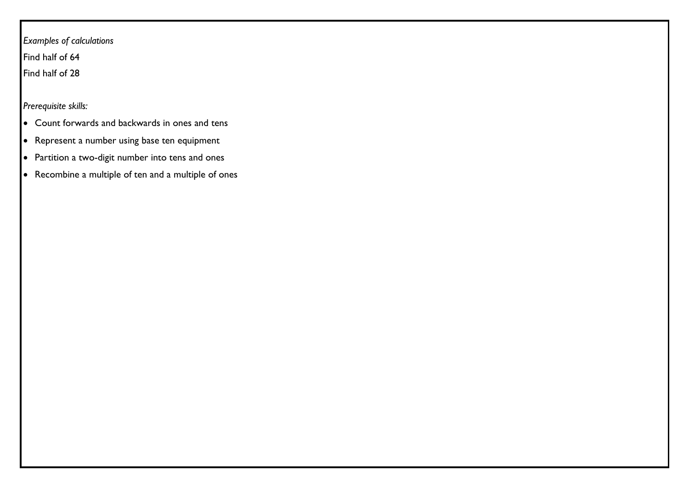*Examples of calculations*

Find half of 64

Find half of 28

*Prerequisite skills:*

- Count forwards and backwards in ones and tens
- Represent a number using base ten equipment
- Partition a two-digit number into tens and ones
- Recombine a multiple of ten and a multiple of ones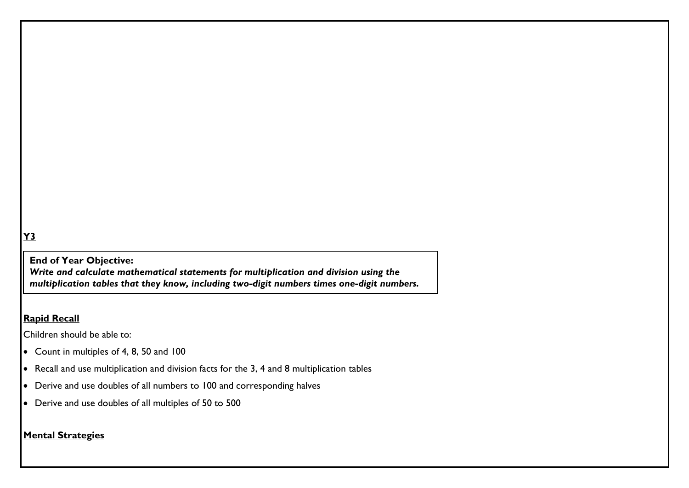## **Y3**

**End of Year Objective:** *Write and calculate mathematical statements for multiplication and division using the multiplication tables that they know, including two-digit numbers times one-digit numbers.*

#### **Rapid Recall**

Children should be able to:

- Count in multiples of 4, 8, 50 and 100
- Recall and use multiplication and division facts for the 3, 4 and 8 multiplication tables
- Derive and use doubles of all numbers to 100 and corresponding halves
- Derive and use doubles of all multiples of 50 to 500

#### **Mental Strategies**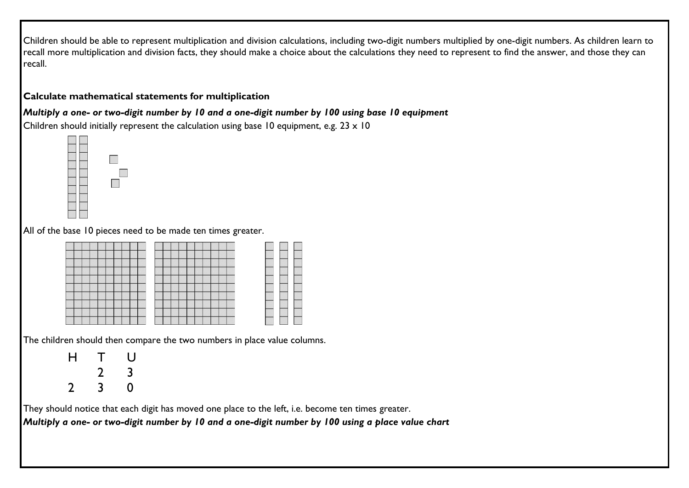Children should be able to represent multiplication and division calculations, including two-digit numbers multiplied by one-digit numbers. As children learn to recall more multiplication and division facts, they should make a choice about the calculations they need to represent to find the answer, and those they can recall.

#### **Calculate mathematical statements for multiplication**

#### *Multiply a one- or two-digit number by 10 and a one-digit number by 100 using base 10 equipment*

Children should initially represent the calculation using base 10 equipment, e.g.  $23 \times 10$ 



 $\mathbf{I}$ 

All of the base 10 pieces need to be made ten times greater.



The children should then compare the two numbers in place value columns.

H T U 2 3 2 3 0

They should notice that each digit has moved one place to the left, i.e. become ten times greater.

*Multiply a one- or two-digit number by 10 and a one-digit number by 100 using a place value chart*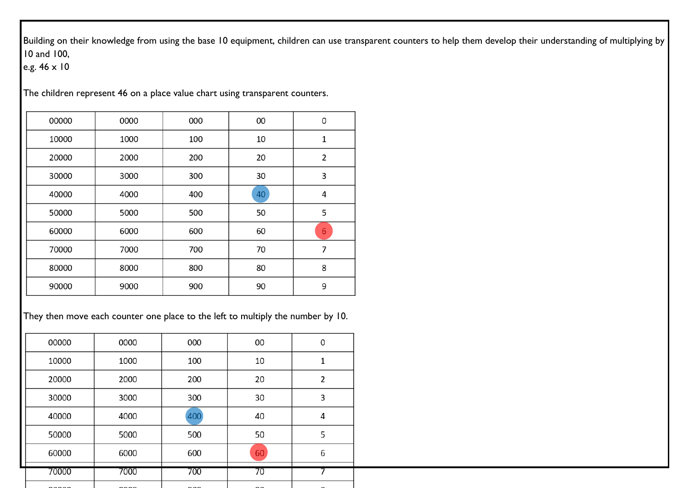Building on their knowledge from using the base 10 equipment, children can use transparent counters to help them develop their understanding of multiplying by 10 and 100,

# e.g. 46 x 10

The children represent 46 on a place value chart using transparent counters.

| 00000 | 0000 | 000 | 00 | 0              |
|-------|------|-----|----|----------------|
| 10000 | 1000 | 100 | 10 | 1              |
| 20000 | 2000 | 200 | 20 | $\overline{2}$ |
| 30000 | 3000 | 300 | 30 | 3              |
| 40000 | 4000 | 400 | 40 | 4              |
| 50000 | 5000 | 500 | 50 | 5              |
| 60000 | 6000 | 600 | 60 | 6              |
| 70000 | 7000 | 700 | 70 | 7              |
| 80000 | 8000 | 800 | 80 | 8              |
| 90000 | 9000 | 900 | 90 | 9              |

They then move each counter one place to the left to multiply the number by 10.

| 00000 | 0000 | 000    | 00 | 0 |
|-------|------|--------|----|---|
| 10000 | 1000 | 100    | 10 | 1 |
| 20000 | 2000 | 200    | 20 | 2 |
| 30000 | 3000 | 300    | 30 | 3 |
| 40000 | 4000 | 400    | 40 | 4 |
| 50000 | 5000 | 500    | 50 | 5 |
| 60000 | 6000 | 600    | 60 | 6 |
| 70000 | 7000 | 700    | 70 |   |
| 00000 | 0000 | $\sim$ | -- |   |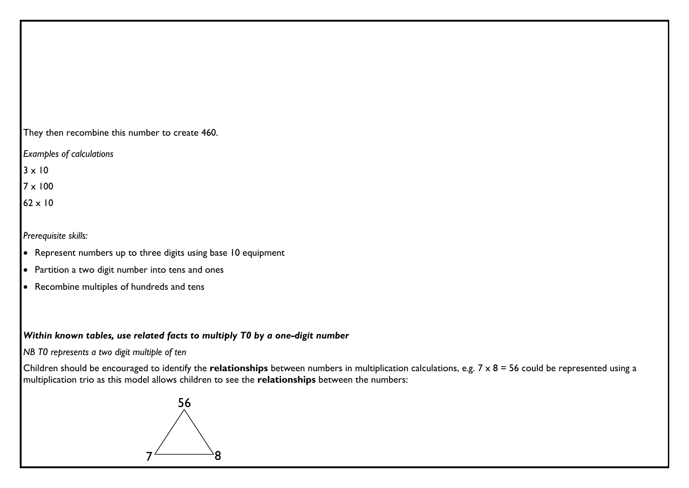They then recombine this number to create 460.

*Examples of calculations*

 $3 \times 10$ 

 $7 \times 100$ 

 $62 \times 10$ 

*Prerequisite skills:*

- Represent numbers up to three digits using base 10 equipment
- Partition a two digit number into tens and ones
- Recombine multiples of hundreds and tens

*Within known tables, use related facts to multiply T0 by a one-digit number*

#### *NB T0 represents a two digit multiple of ten*

Children should be encouraged to identify the **relationships** between numbers in multiplication calculations, e.g. 7 x 8 = 56 could be represented using a multiplication trio as this model allows children to see the **relationships** between the numbers:

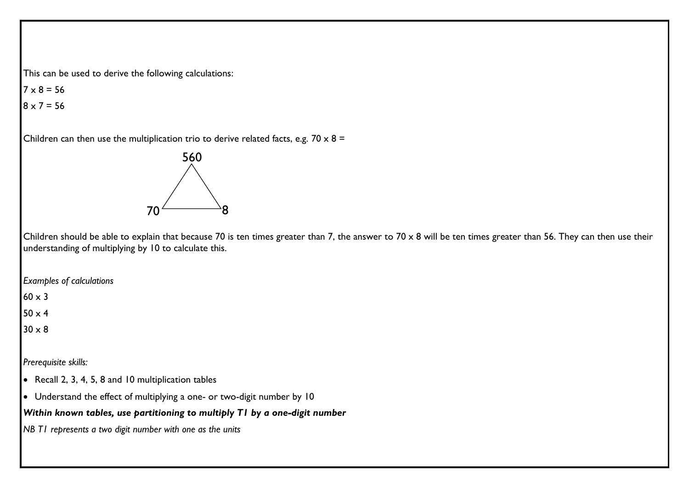This can be used to derive the following calculations:

 $7 \times 8 = 56$ 

 $8 \times 7 = 56$ 

Children can then use the multiplication trio to derive related facts, e.g. 70  $\times$  8 =



Children should be able to explain that because 70 is ten times greater than 7, the answer to 70  $\times$  8 will be ten times greater than 56. They can then use their understanding of multiplying by 10 to calculate this.

*Examples of calculations*

 $60 \times 3$ 

 $50 \times 4$ 

 $30 \times 8$ 

*Prerequisite skills:*

- Recall 2, 3, 4, 5, 8 and 10 multiplication tables
- Understand the effect of multiplying a one- or two-digit number by 10

# *Within known tables, use partitioning to multiply T1 by a one-digit number*

*NB T1 represents a two digit number with one as the units*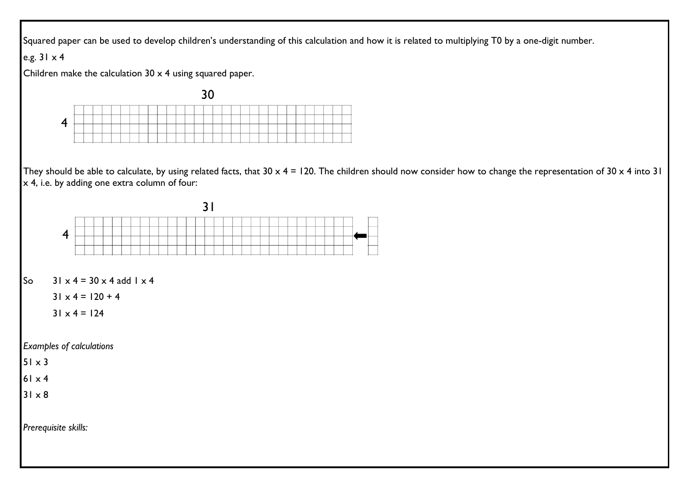Squared paper can be used to develop children's understanding of this calculation and how it is related to multiplying T0 by a one-digit number.

# e.g.  $31 \times 4$

Children make the calculation 30 x 4 using squared paper.



They should be able to calculate, by using related facts, that  $30 \times 4 = 120$ . The children should now consider how to change the representation of  $30 \times 4$  into  $31$ x 4, i.e. by adding one extra column of four:

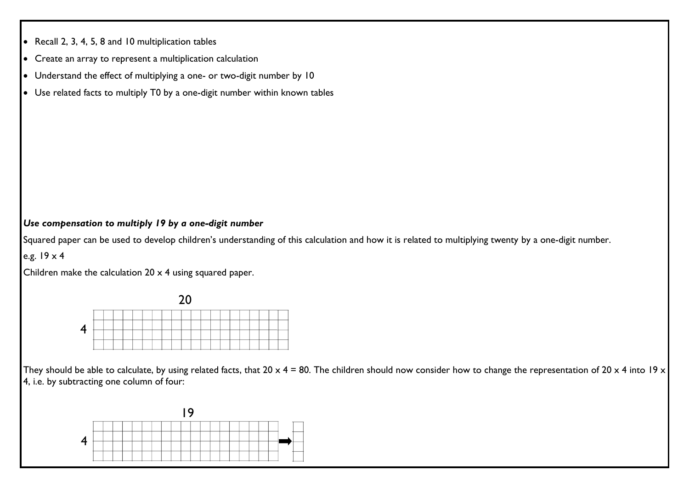- Recall 2, 3, 4, 5, 8 and 10 multiplication tables
- Create an array to represent a multiplication calculation
- Understand the effect of multiplying a one- or two-digit number by 10
- Use related facts to multiply T0 by a one-digit number within known tables

#### *Use compensation to multiply 19 by a one-digit number*

Squared paper can be used to develop children's understanding of this calculation and how it is related to multiplying twenty by a one-digit number.

## e.g. 19 x 4

Children make the calculation 20 x 4 using squared paper.



They should be able to calculate, by using related facts, that 20  $\times$  4 = 80. The children should now consider how to change the representation of 20  $\times$  4 into 19  $\times$ 4, i.e. by subtracting one column of four:

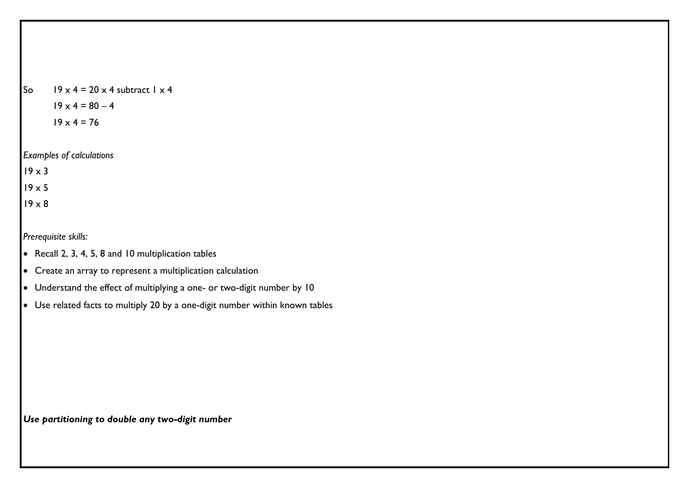So 
$$
19 \times 4 = 20 \times 4
$$
 subtract  $1 \times 4$   
 $19 \times 4 = 80 - 4$   
 $19 \times 4 = 76$ 

*Examples of calculations*

 $19 \times 3$ 

 $19 \times 5$ 

 $19 \times 8$ 

*Prerequisite skills:*

- Recall 2, 3, 4, 5, 8 and 10 multiplication tables
- Create an array to represent a multiplication calculation
- Understand the effect of multiplying a one- or two-digit number by 10
- Use related facts to multiply 20 by a one-digit number within known tables

*Use partitioning to double any two-digit number*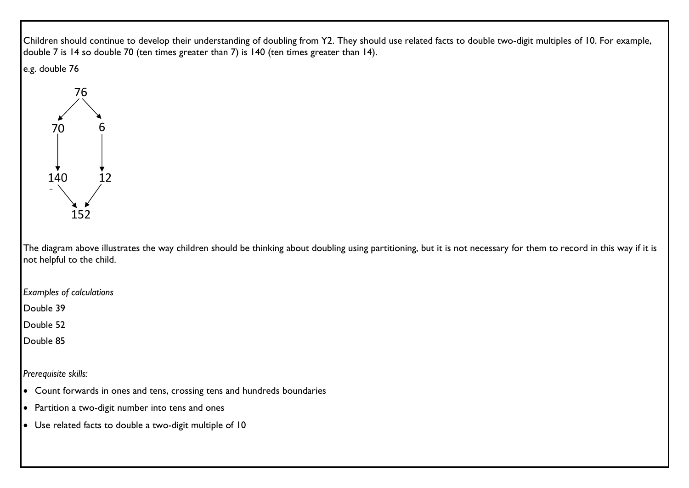Children should continue to develop their understanding of doubling from Y2. They should use related facts to double two-digit multiples of 10. For example, double 7 is 14 so double 70 (ten times greater than 7) is 140 (ten times greater than 14).

e.g. double 76



The diagram above illustrates the way children should be thinking about doubling using partitioning, but it is not necessary for them to record in this way if it is not helpful to the child.

*Examples of calculations*

Double 39

Double 52

Double 85

*Prerequisite skills:*

- Count forwards in ones and tens, crossing tens and hundreds boundaries
- Partition a two-digit number into tens and ones
- Use related facts to double a two-digit multiple of 10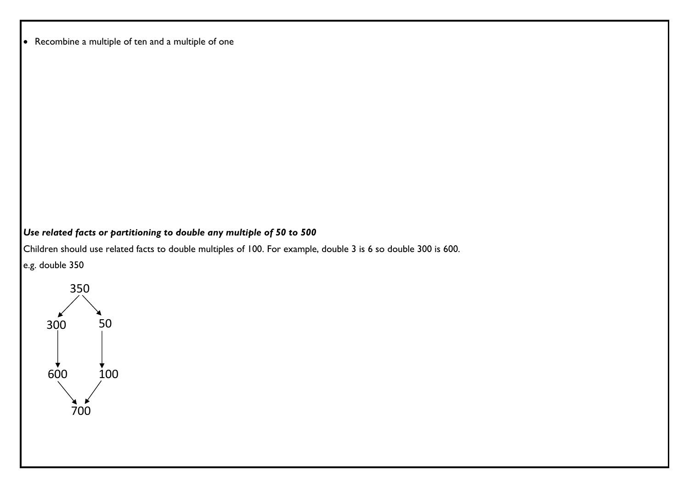

# *Use related facts or partitioning to double any multiple of 50 to 500*

Children should use related facts to double multiples of 100. For example, double 3 is 6 so double 300 is 600.

e.g. double 350

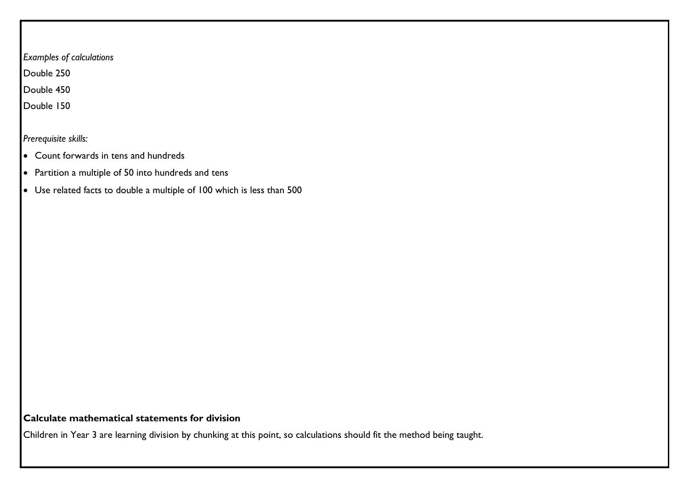*Examples of calculations*

Double 250

Double 450

Double 150

*Prerequisite skills:*

- Count forwards in tens and hundreds
- Partition a multiple of 50 into hundreds and tens
- Use related facts to double a multiple of 100 which is less than 500

# **Calculate mathematical statements for division**

Children in Year 3 are learning division by chunking at this point, so calculations should fit the method being taught.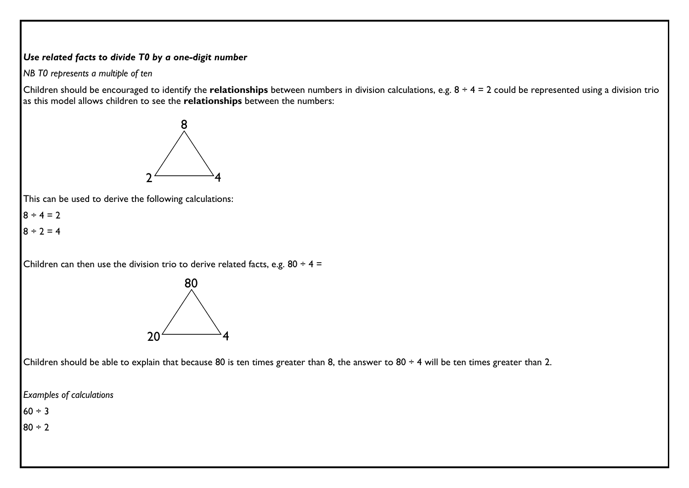#### *Use related facts to divide T0 by a one-digit number*

*NB T0 represents a multiple of ten*

Children should be encouraged to identify the **relationships** between numbers in division calculations, e.g. 8 ÷ 4 = 2 could be represented using a division trio as this model allows children to see the **relationships** between the numbers:



 $60 \div 3$ 

 $80 \div 2$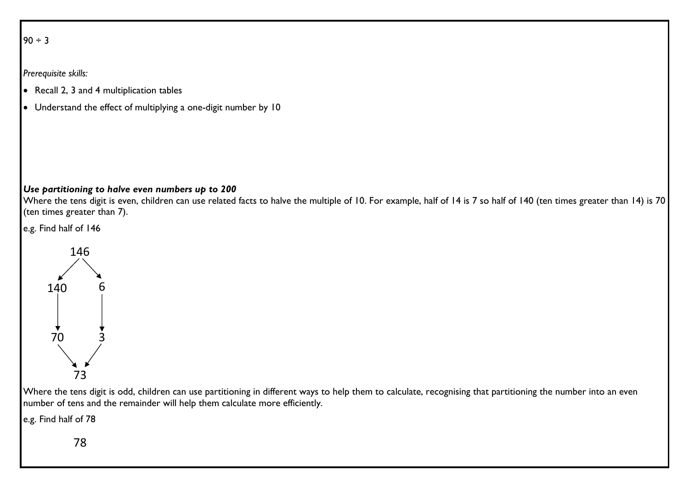## $90 \div 3$

*Prerequisite skills:*

- Recall 2, 3 and 4 multiplication tables
- Understand the effect of multiplying a one-digit number by 10

## *Use partitioning to halve even numbers up to 200*

Where the tens digit is even, children can use related facts to halve the multiple of 10. For example, half of 14 is 7 so half of 140 (ten times greater than 14) is 70 (ten times greater than 7).

e.g. Find half of 146



Where the tens digit is odd, children can use partitioning in different ways to help them to calculate, recognising that partitioning the number into an even number of tens and the remainder will help them calculate more efficiently.

e.g. Find half of 78

78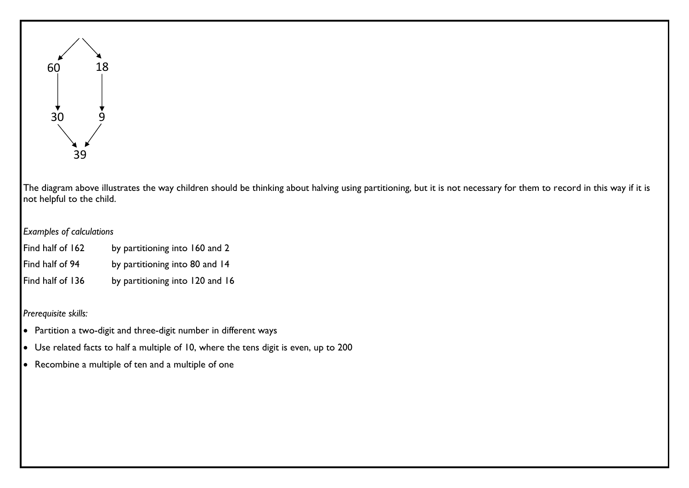

The diagram above illustrates the way children should be thinking about halving using partitioning, but it is not necessary for them to record in this way if it is not helpful to the child.

#### *Examples of calculations*

| Find half of 162 | by partitioning into 160 and 2  |
|------------------|---------------------------------|
| Find half of 94  | by partitioning into 80 and 14  |
| Find half of 136 | by partitioning into 120 and 16 |

*Prerequisite skills:*

- Partition a two-digit and three-digit number in different ways
- Use related facts to half a multiple of 10, where the tens digit is even, up to 200
- Recombine a multiple of ten and a multiple of one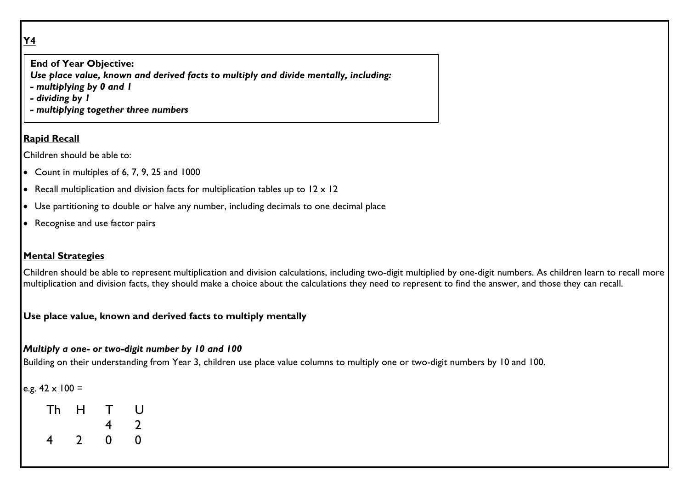#### **Y4**

#### **End of Year Objective:**

*Use place value, known and derived facts to multiply and divide mentally, including:*

- *- multiplying by 0 and 1*
- *- dividing by 1*
- *- multiplying together three numbers*

#### **Rapid Recall**

Children should be able to:

- Count in multiples of 6, 7, 9, 25 and 1000
- Recall multiplication and division facts for multiplication tables up to  $12 \times 12$
- Use partitioning to double or halve any number, including decimals to one decimal place
- Recognise and use factor pairs

## **Mental Strategies**

Children should be able to represent multiplication and division calculations, including two-digit multiplied by one-digit numbers. As children learn to recall more multiplication and division facts, they should make a choice about the calculations they need to represent to find the answer, and those they can recall.

**Use place value, known and derived facts to multiply mentally**

#### *Multiply a one- or two-digit number by 10 and 100*

Building on their understanding from Year 3, children use place value columns to multiply one or two-digit numbers by 10 and 100.

e.g.  $42 \times 100 =$ 

Th H T U 4 2 4 2 0 0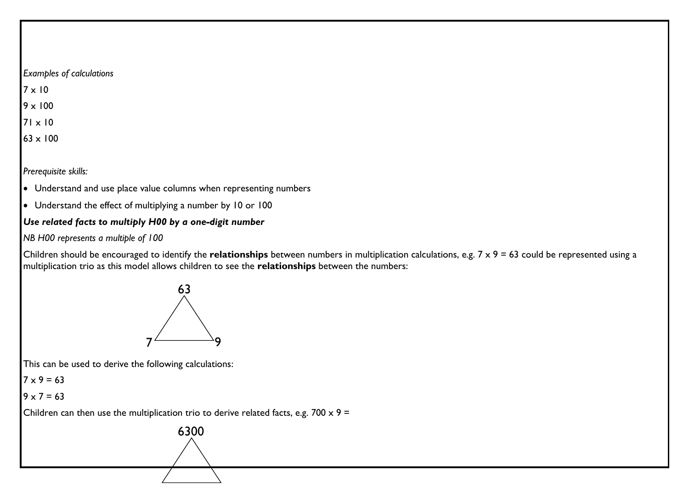*Examples of calculations*

 $7 \times 10$ 9 x 100

 $171 \times 10$ 

63 x 100

*Prerequisite skills:*

- Understand and use place value columns when representing numbers
- Understand the effect of multiplying a number by 10 or 100

# *Use related facts to multiply H00 by a one-digit number*

*NB H00 represents a multiple of 100*

Children should be encouraged to identify the **relationships** between numbers in multiplication calculations, e.g. 7 x 9 = 63 could be represented using a multiplication trio as this model allows children to see the **relationships** between the numbers:



This can be used to derive the following calculations:

 $7 \times 9 = 63$ 

 $9 \times 7 = 63$ 

Children can then use the multiplication trio to derive related facts, e.g. 700  $\times$  9 =

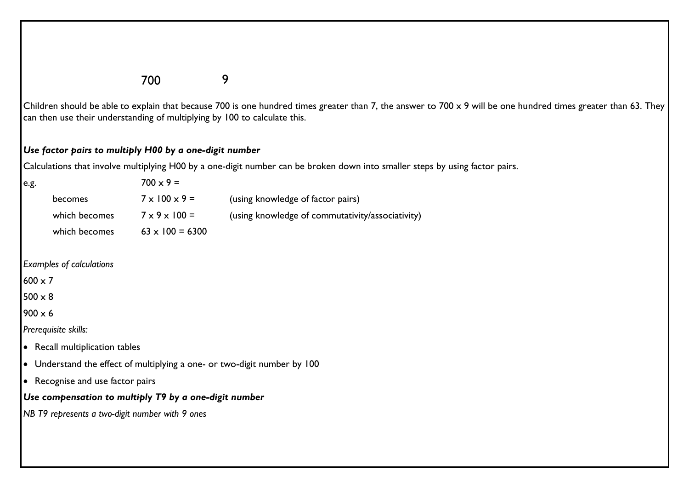700 9

Children should be able to explain that because 700 is one hundred times greater than 7, the answer to 700 x 9 will be one hundred times greater than 63. They can then use their understanding of multiplying by 100 to calculate this.

#### *Use factor pairs to multiply H00 by a one-digit number*

Calculations that involve multiplying H00 by a one-digit number can be broken down into smaller steps by using factor pairs.

| e.g.           |                                                 | $700 \times 9 =$                                      |                                                                        |
|----------------|-------------------------------------------------|-------------------------------------------------------|------------------------------------------------------------------------|
|                | becomes                                         | $7 \times 100 \times 9 =$                             | (using knowledge of factor pairs)                                      |
|                | which becomes                                   | $7 \times 9 \times 100 =$                             | (using knowledge of commutativity/associativity)                       |
|                | which becomes                                   | $63 \times 100 = 6300$                                |                                                                        |
|                |                                                 |                                                       |                                                                        |
|                | Examples of calculations                        |                                                       |                                                                        |
| $600 \times 7$ |                                                 |                                                       |                                                                        |
| $500 \times 8$ |                                                 |                                                       |                                                                        |
| $900 \times 6$ |                                                 |                                                       |                                                                        |
|                | Prerequisite skills:                            |                                                       |                                                                        |
|                | • Recall multiplication tables                  |                                                       |                                                                        |
| $\bullet$      |                                                 |                                                       | Understand the effect of multiplying a one- or two-digit number by 100 |
| $\bullet$      | Recognise and use factor pairs                  |                                                       |                                                                        |
|                |                                                 | Use compensation to multiply T9 by a one-digit number |                                                                        |
|                | NB T9 represents a two-digit number with 9 ones |                                                       |                                                                        |
|                |                                                 |                                                       |                                                                        |
|                |                                                 |                                                       |                                                                        |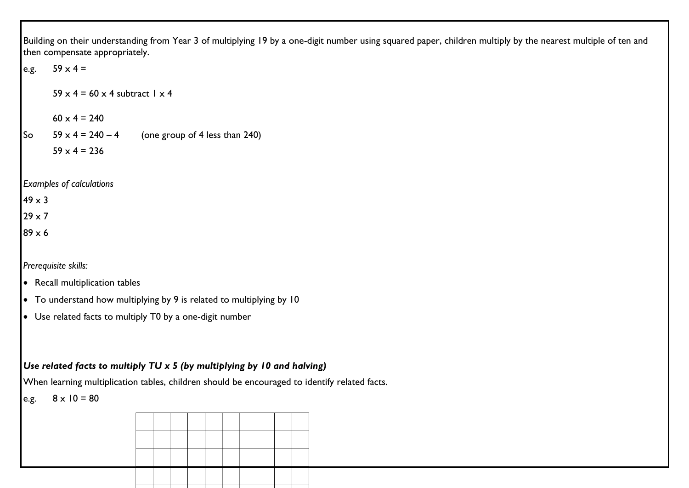Building on their understanding from Year 3 of multiplying 19 by a one-digit number using squared paper, children multiply by the nearest multiple of ten and then compensate appropriately.

```
e.g. 59 \times 4 =59 \times 4 = 60 \times 4 subtract 1 \times 460 \times 4 = 240So 59 \times 4 = 240 - 4 (one group of 4 less than 240)
        59 \times 4 = 236Examples of calculations
49 \times 329 x 7
89 \times 6
```
*Prerequisite skills:*

- Recall multiplication tables
- To understand how multiplying by 9 is related to multiplying by 10
- Use related facts to multiply T0 by a one-digit number

## *Use related facts to multiply TU x 5 (by multiplying by 10 and halving)*

When learning multiplication tables, children should be encouraged to identify related facts.

e.g.  $8 \times 10 = 80$ 

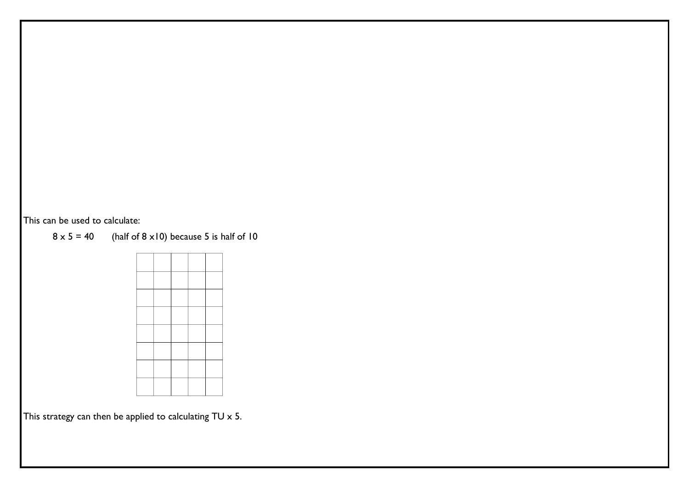This can be used to calculate:

 $8 \times 5 = 40$  (half of  $8 \times 10$ ) because 5 is half of 10



This strategy can then be applied to calculating TU  $\times$  5.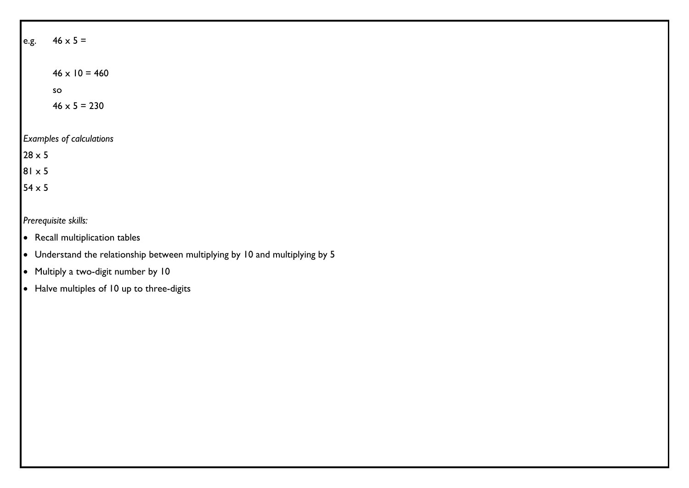e.g.  $46 \times 5 =$  $46 \times 10 = 460$ so  $46 \times 5 = 230$ 

*Examples of calculations*

 $28 \times 5$ 

 $81 \times 5$ 

 $54 \times 5$ 

*Prerequisite skills:*

- Recall multiplication tables
- Understand the relationship between multiplying by 10 and multiplying by 5
- Multiply a two-digit number by 10
- Halve multiples of 10 up to three-digits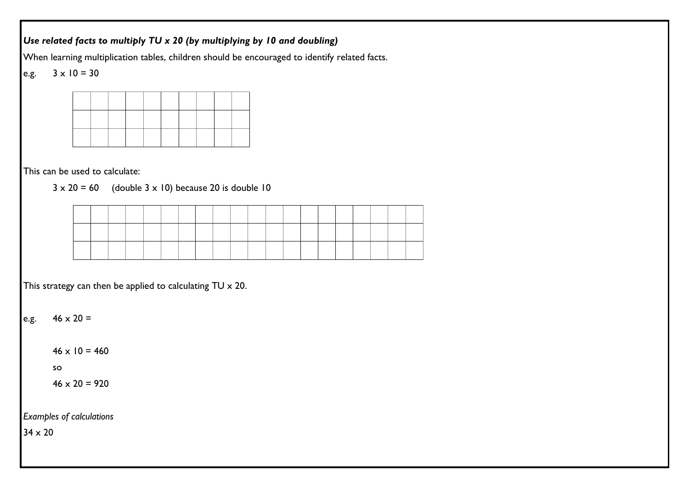## *Use related facts to multiply TU x 20 (by multiplying by 10 and doubling)*

When learning multiplication tables, children should be encouraged to identify related facts.

e.g.  $3 \times 10 = 30$ 



This can be used to calculate:

 $3 \times 20 = 60$  (double  $3 \times 10$ ) because 20 is double 10

This strategy can then be applied to calculating TU x 20.

e.g.  $46 \times 20 =$ 

 $46 \times 10 = 460$ 

## so

 $46 \times 20 = 920$ 

*Examples of calculations*

 $34 \times 20$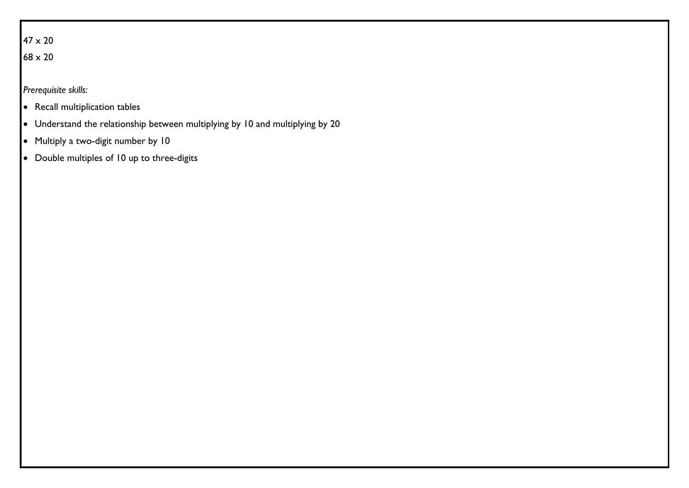47 x 20

68 x 20

*Prerequisite skills:*

- Recall multiplication tables
- Understand the relationship between multiplying by 10 and multiplying by 20
- Multiply a two-digit number by 10
- Double multiples of 10 up to three-digits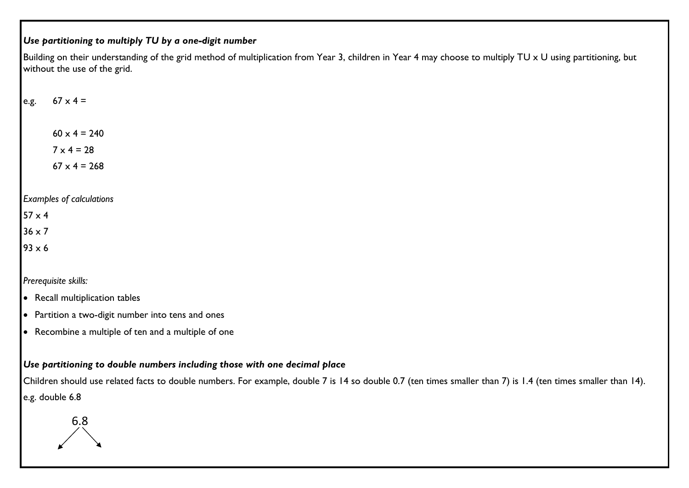## *Use partitioning to multiply TU by a one-digit number*

Building on their understanding of the grid method of multiplication from Year 3, children in Year 4 may choose to multiply TU x U using partitioning, but without the use of the grid.

e.g.  $67 \times 4 =$ 

 $60 \times 4 = 240$ 

 $7 \times 4 = 28$ 

 $67 \times 4 = 268$ 

*Examples of calculations*

 $57 \times 4$ 

 $36 \times 7$ 

 $93 \times 6$ 

*Prerequisite skills:*

- Recall multiplication tables
- Partition a two-digit number into tens and ones
- Recombine a multiple of ten and a multiple of one

## *Use partitioning to double numbers including those with one decimal place*

Children should use related facts to double numbers. For example, double 7 is 14 so double 0.7 (ten times smaller than 7) is 1.4 (ten times smaller than 14). e.g. double 6.8

6.8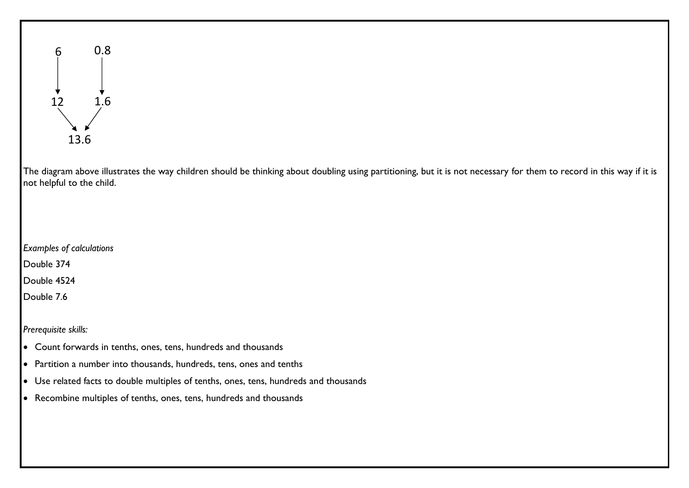

The diagram above illustrates the way children should be thinking about doubling using partitioning, but it is not necessary for them to record in this way if it is not helpful to the child.

*Examples of calculations*

Double 374

Double 4524

Double 7.6

*Prerequisite skills:*

- Count forwards in tenths, ones, tens, hundreds and thousands
- Partition a number into thousands, hundreds, tens, ones and tenths
- Use related facts to double multiples of tenths, ones, tens, hundreds and thousands
- Recombine multiples of tenths, ones, tens, hundreds and thousands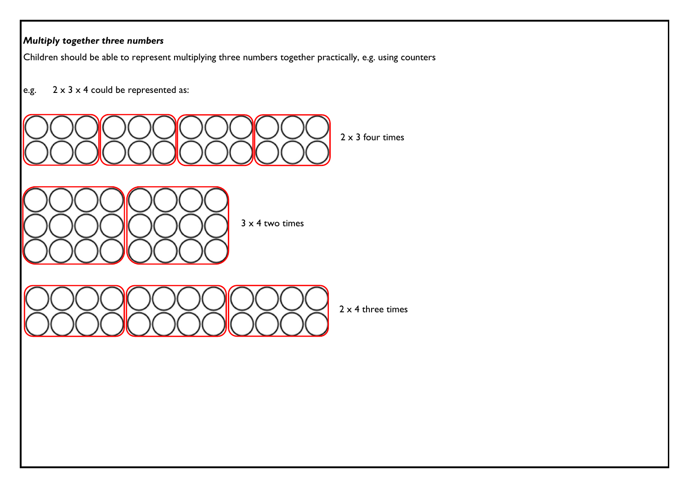## *Multiply together three numbers*

Children should be able to represent multiplying three numbers together practically, e.g. using counters

e.g.  $2 \times 3 \times 4$  could be represented as:



 $3 \times 4$  two times



2 x 4 three times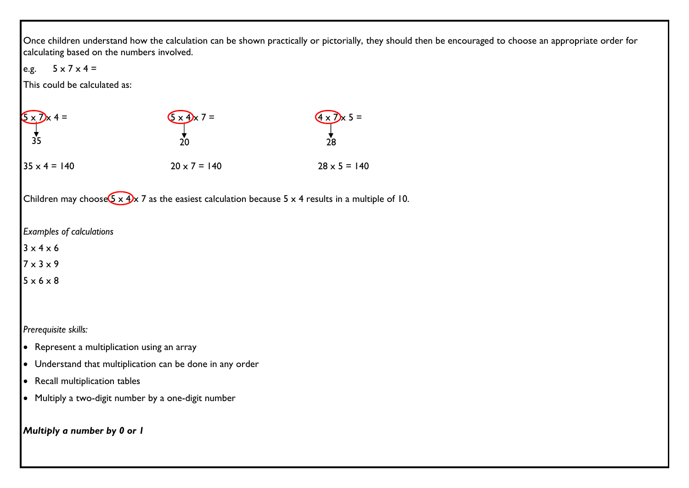Once children understand how the calculation can be shown practically or pictorially, they should then be encouraged to choose an appropriate order for calculating based on the numbers involved.

e.g.  $5 \times 7 \times 4 =$ 

This could be calculated as:



- Understand that multiplication can be done in any order
- Recall multiplication tables
- Multiply a two-digit number by a one-digit number

*Multiply a number by 0 or 1*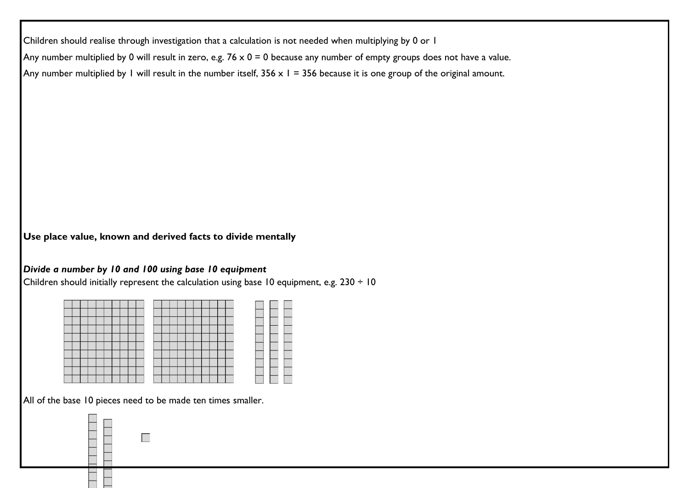Children should realise through investigation that a calculation is not needed when multiplying by 0 or 1

Any number multiplied by 0 will result in zero, e.g. 76 x  $0 = 0$  because any number of empty groups does not have a value.

Any number multiplied by 1 will result in the number itself,  $356 \times 1 = 356$  because it is one group of the original amount.

**Use place value, known and derived facts to divide mentally**

#### *Divide a number by 10 and 100 using base 10 equipment*

Children should initially represent the calculation using base 10 equipment, e.g.  $230 \div 10$ 



All of the base 10 pieces need to be made ten times smaller.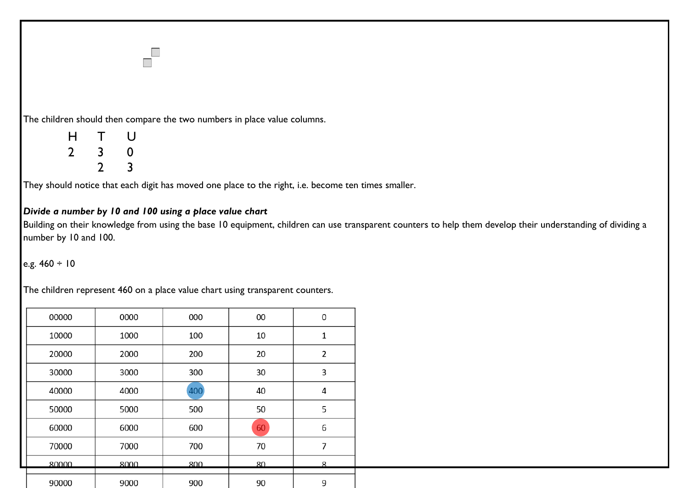## The children should then compare the two numbers in place value columns.

H T U 2 3 0 2 3

They should notice that each digit has moved one place to the right, i.e. become ten times smaller.

## *Divide a number by 10 and 100 using a place value chart*

Building on their knowledge from using the base 10 equipment, children can use transparent counters to help them develop their understanding of dividing a number by 10 and 100.

e.g. 460 ÷ 10

The children represent 460 on a place value chart using transparent counters.

| 00000 | 0000 | 000 | 00 | 0              |
|-------|------|-----|----|----------------|
| 10000 | 1000 | 100 | 10 | $\mathbf{1}$   |
| 20000 | 2000 | 200 | 20 | $\overline{2}$ |
| 30000 | 3000 | 300 | 30 | 3              |
| 40000 | 4000 | 400 | 40 | 4              |
| 50000 | 5000 | 500 | 50 | 5              |
| 60000 | 6000 | 600 | 60 | 6              |
| 70000 | 7000 | 700 | 70 | 7              |
| 80000 | 8000 | 800 | 80 | R              |
| 90000 | 9000 | 900 | 90 | 9              |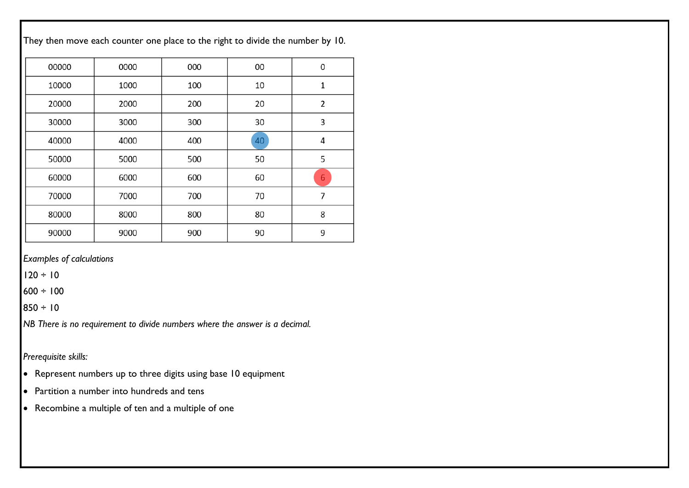They then move each counter one place to the right to divide the number by 10.

| 00000 | 0000 | 000 | 00 | 0              |
|-------|------|-----|----|----------------|
| 10000 | 1000 | 100 | 10 | 1              |
| 20000 | 2000 | 200 | 20 | $\overline{2}$ |
| 30000 | 3000 | 300 | 30 | 3              |
| 40000 | 4000 | 400 | 40 | 4              |
| 50000 | 5000 | 500 | 50 | 5              |
| 60000 | 6000 | 600 | 60 | 6              |
| 70000 | 7000 | 700 | 70 | 7              |
| 80000 | 8000 | 800 | 80 | 8              |
| 90000 | 9000 |     | 90 | 9              |

*Examples of calculations*

 $120 \div 10$ 

 $600 \div 100$ 

 $850 \div 10$ 

*NB There is no requirement to divide numbers where the answer is a decimal.*

*Prerequisite skills:*

- Represent numbers up to three digits using base 10 equipment
- Partition a number into hundreds and tens
- Recombine a multiple of ten and a multiple of one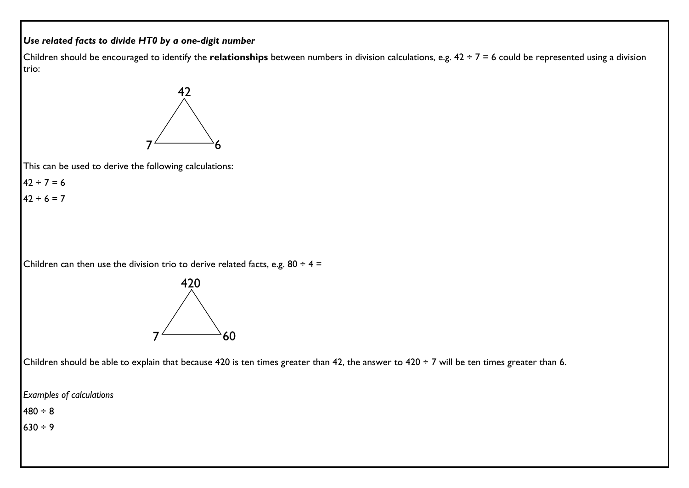## *Use related facts to divide HT0 by a one-digit number*

Children should be encouraged to identify the **relationships** between numbers in division calculations, e.g. 42 ÷ 7 = 6 could be represented using a division trio:



This can be used to derive the following calculations:

 $42 \div 7 = 6$ 

 $42 \div 6 = 7$ 

Children can then use the division trio to derive related facts, e.g.  $80 \div 4 =$ 



Children should be able to explain that because 420 is ten times greater than 42, the answer to 420  $\div$  7 will be ten times greater than 6.

*Examples of calculations*

 $480 \div 8$ 

 $630 \div 9$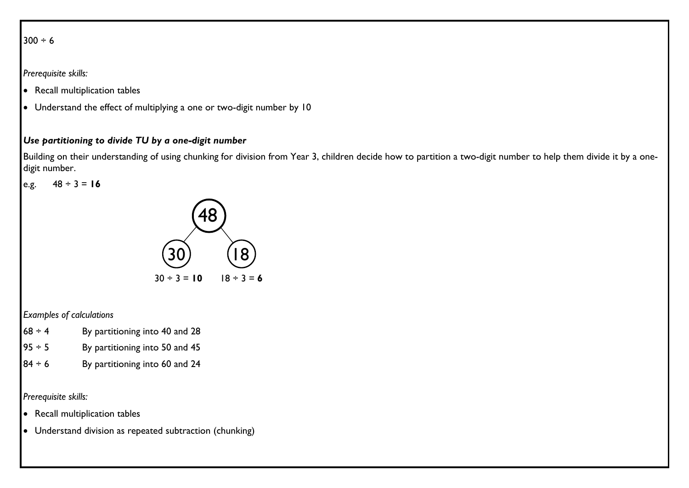## $300 \div 6$

*Prerequisite skills:*

- Recall multiplication tables
- Understand the effect of multiplying a one or two-digit number by 10

## *Use partitioning to divide TU by a one-digit number*

Building on their understanding of using chunking for division from Year 3, children decide how to partition a two-digit number to help them divide it by a onedigit number.





*Examples of calculations*

- $68 \div 4$  By partitioning into 40 and 28
- $95 \div 5$  By partitioning into 50 and 45
- $84 \div 6$  By partitioning into 60 and 24

*Prerequisite skills:*

- Recall multiplication tables
- Understand division as repeated subtraction (chunking)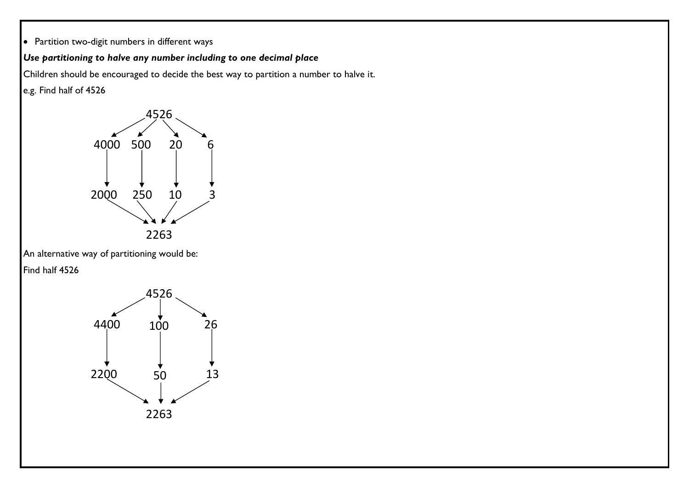• Partition two-digit numbers in different ways

## *Use partitioning to halve any number including to one decimal place*

Children should be encouraged to decide the best way to partition a number to halve it.

e.g. Find half of 4526



An alternative way of partitioning would be:

Find half 4526

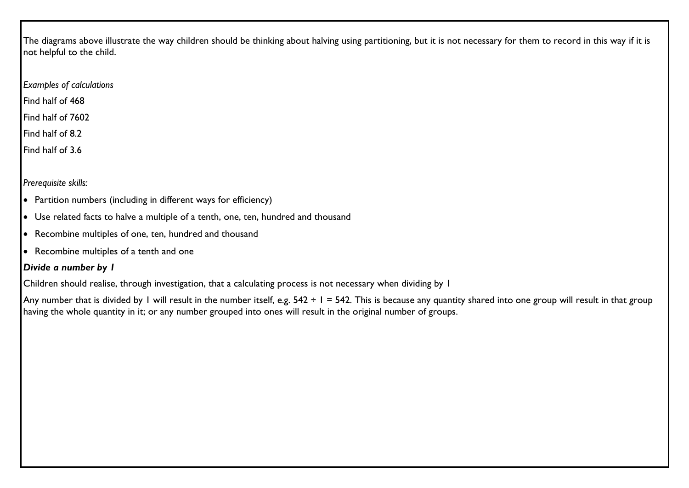The diagrams above illustrate the way children should be thinking about halving using partitioning, but it is not necessary for them to record in this way if it is not helpful to the child.

*Examples of calculations*

Find half of 468

Find half of 7602

Find half of 8.2

Find half of 3.6

*Prerequisite skills:*

- Partition numbers (including in different ways for efficiency)
- Use related facts to halve a multiple of a tenth, one, ten, hundred and thousand
- Recombine multiples of one, ten, hundred and thousand
- Recombine multiples of a tenth and one

# *Divide a number by 1*

Children should realise, through investigation, that a calculating process is not necessary when dividing by 1

Any number that is divided by 1 will result in the number itself, e.g.  $542 \div 1 = 542$ . This is because any quantity shared into one group will result in that group having the whole quantity in it; or any number grouped into ones will result in the original number of groups.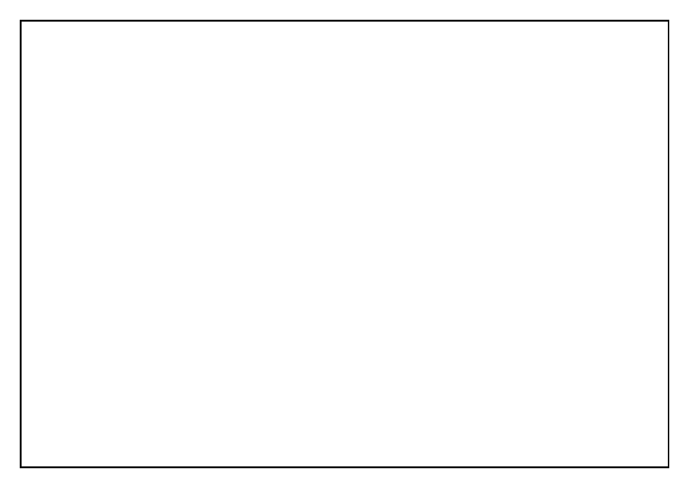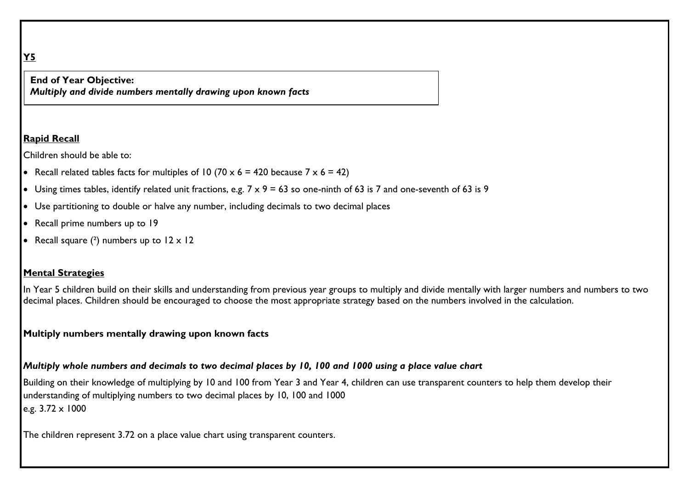## **Y5**

#### **End of Year Objective:**

*Multiply and divide numbers mentally drawing upon known facts*

#### **Rapid Recall**

Children should be able to:

- Recall related tables facts for multiples of 10 (70  $\times$  6 = 420 because 7  $\times$  6 = 42)
- Using times tables, identify related unit fractions, e.g.  $7 \times 9 = 63$  so one-ninth of 63 is 7 and one-seventh of 63 is 9
- Use partitioning to double or halve any number, including decimals to two decimal places
- Recall prime numbers up to 19
- Recall square  $(2)$  numbers up to  $12 \times 12$

#### **Mental Strategies**

In Year 5 children build on their skills and understanding from previous year groups to multiply and divide mentally with larger numbers and numbers to two decimal places. Children should be encouraged to choose the most appropriate strategy based on the numbers involved in the calculation.

#### **Multiply numbers mentally drawing upon known facts**

## *Multiply whole numbers and decimals to two decimal places by 10, 100 and 1000 using a place value chart*

Building on their knowledge of multiplying by 10 and 100 from Year 3 and Year 4, children can use transparent counters to help them develop their understanding of multiplying numbers to two decimal places by 10, 100 and 1000 e.g.  $3.72 \times 1000$ 

The children represent 3.72 on a place value chart using transparent counters.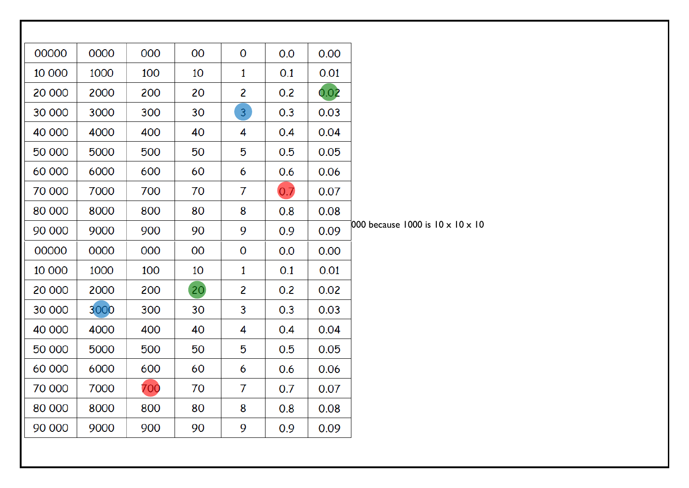| 00000  | 0000 | 000 | 00 | 0              | 0.0 | 0.00 |                                              |
|--------|------|-----|----|----------------|-----|------|----------------------------------------------|
| 10 000 | 1000 | 100 | 10 | $\mathbf{1}$   | 0.1 | 0.01 |                                              |
| 20 000 | 2000 | 200 | 20 | $\overline{c}$ | 0.2 | 0.02 |                                              |
| 30 000 | 3000 | 300 | 30 | 3 <sup>°</sup> | 0.3 | 0.03 |                                              |
| 40 000 | 4000 | 400 | 40 | 4              | 0.4 | 0.04 |                                              |
| 50 000 | 5000 | 500 | 50 | 5              | 0.5 | 0.05 |                                              |
| 60 000 | 6000 | 600 | 60 | 6              | 0.6 | 0.06 |                                              |
| 70 000 | 7000 | 700 | 70 | 7              | 0.7 | 0.07 |                                              |
| 80 000 | 8000 | 800 | 80 | 8              | 0.8 | 0.08 |                                              |
| 90 000 | 9000 | 900 | 90 | 9              | 0.9 | 0.09 | 000 because 1000 is $10 \times 10 \times 10$ |
| 00000  | 0000 | 000 | 00 | 0              | 0.0 | 0.00 |                                              |
| 10 000 | 1000 | 100 | 10 | 1              | 0.1 | 0.01 |                                              |
| 20 000 | 2000 | 200 | 20 | 2              | 0.2 | 0.02 |                                              |
| 30 000 | 3000 | 300 | 30 | 3              | 0.3 | 0.03 |                                              |
| 40 000 | 4000 | 400 | 40 | 4              | 0.4 | 0.04 |                                              |
| 50 000 | 5000 | 500 | 50 | 5              | 0.5 | 0.05 |                                              |
| 60 000 | 6000 | 600 | 60 | 6              | 0.6 | 0.06 |                                              |
| 70 000 | 7000 | 700 | 70 | 7              | 0.7 | 0.07 |                                              |
| 80 000 | 8000 | 800 | 80 | 8              | 0.8 | 0.08 |                                              |
| 90 000 | 9000 | 900 | 90 | 9              | 0.9 | 0.09 |                                              |
|        |      |     |    |                |     |      |                                              |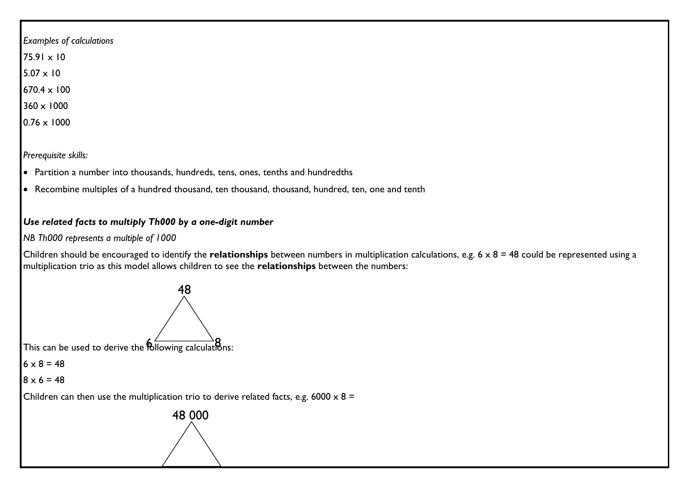*Examples of calculations*

 $75.91 \times 10$ 

 $5.07 \times 10$ 

670.4 x 100

360 x 1000

 $0.76 \times 1000$ 

*Prerequisite skills:*

- Partition a number into thousands, hundreds, tens, ones, tenths and hundredths
- Recombine multiples of a hundred thousand, ten thousand, thousand, hundred, ten, one and tenth

# *Use related facts to multiply Th000 by a one-digit number*

*NB Th000 represents a multiple of 1000*

Children should be encouraged to identify the **relationships** between numbers in multiplication calculations, e.g. 6 x 8 = 48 could be represented using a multiplication trio as this model allows children to see the **relationships** between the numbers:

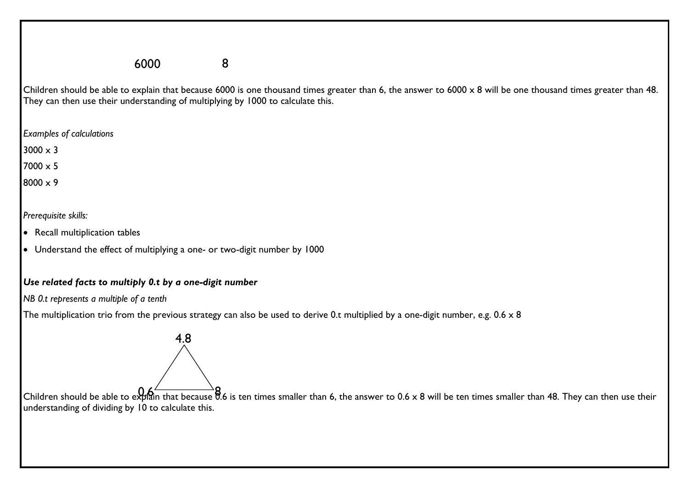# 6000 8

Children should be able to explain that because 6000 is one thousand times greater than 6, the answer to  $6000 \times 8$  will be one thousand times greater than 48. They can then use their understanding of multiplying by 1000 to calculate this.

*Examples of calculations*

 $3000 \times 3$ 

 $7000 \times 5$ 

 $8000 \times 9$ 

#### *Prerequisite skills:*

- Recall multiplication tables
- Understand the effect of multiplying a one- or two-digit number by 1000

4.8

#### *Use related facts to multiply 0.t by a one-digit number*

*NB 0.t represents a multiple of a tenth*

The multiplication trio from the previous strategy can also be used to derive 0.t multiplied by a one-digit number, e.g. 0.6 x 8

Children should be able to eXplain that because 0.6 is ten times smaller than 6, the answer to 0.6 x 8 will be ten times smaller than 48. They can then use their understanding of dividing by 10 to calculate this.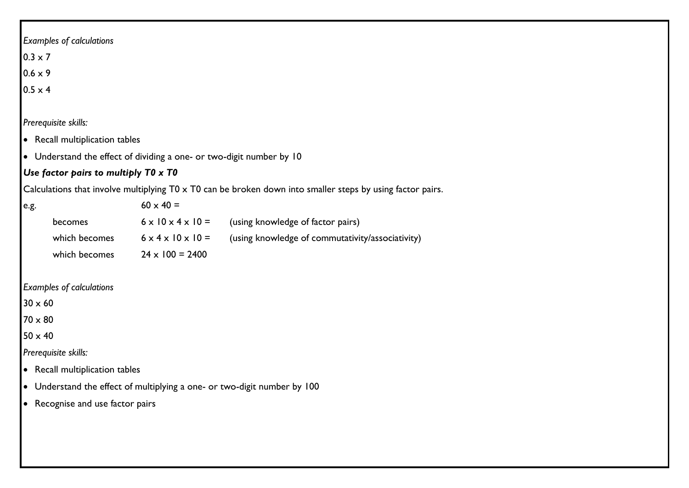*Examples of calculations*

 $0.3 \times 7$ 

 $0.6 \times 9$ 

 $0.5 \times 4$ 

*Prerequisite skills:*

- Recall multiplication tables
- Understand the effect of dividing a one- or two-digit number by 10

# *Use factor pairs to multiply T0 x T0*

Calculations that involve multiplying T0 x T0 can be broken down into smaller steps by using factor pairs.

| e.g.                            | $60 \times 40 =$ |                                    |                                                  |
|---------------------------------|------------------|------------------------------------|--------------------------------------------------|
| becomes                         |                  | $6 \times 10 \times 4 \times 10 =$ | (using knowledge of factor pairs)                |
| which becomes                   |                  | $6 \times 4 \times 10 \times 10 =$ | (using knowledge of commutativity/associativity) |
| which becomes                   |                  | $24 \times 100 = 2400$             |                                                  |
|                                 |                  |                                    |                                                  |
| <b>Examples of calculations</b> |                  |                                    |                                                  |
| $30 \times 60$                  |                  |                                    |                                                  |
| $70 \times 80$                  |                  |                                    |                                                  |
| $50 \times 40$                  |                  |                                    |                                                  |
| Prerequisite skills:            |                  |                                    |                                                  |
| • Recall multiplication tables  |                  |                                    |                                                  |

- Understand the effect of multiplying a one- or two-digit number by 100
- Recognise and use factor pairs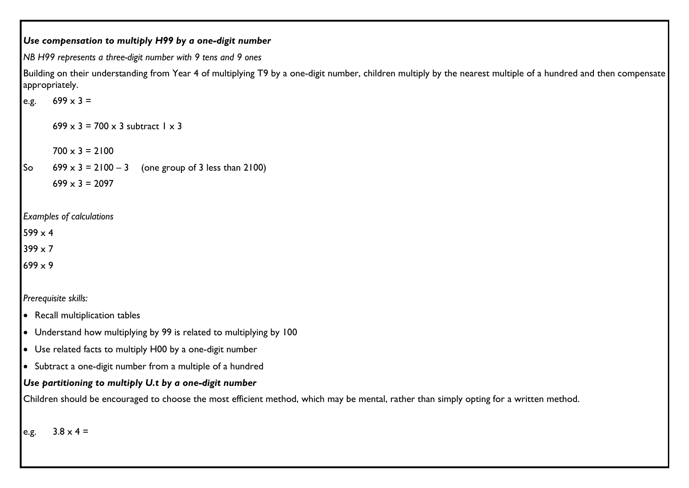#### *Use compensation to multiply H99 by a one-digit number*

*NB H99 represents a three-digit number with 9 tens and 9 ones*

Building on their understanding from Year 4 of multiplying T9 by a one-digit number, children multiply by the nearest multiple of a hundred and then compensate appropriately.

```
e.g. 699 \times 3 =699 \times 3 = 700 \times 3 subtract 1 \times 3
        700 \times 3 = 2100So 699 \times 3 = 2100 - 3 (one group of 3 less than 2100)
        699 \times 3 = 2097Examples of calculations
599 \times 4399 \times 7699 x 9
Prerequisite skills:
• Recall multiplication tables
• Understand how multiplying by 99 is related to multiplying by 100
• Use related facts to multiply H00 by a one-digit number
• Subtract a one-digit number from a multiple of a hundred
```
## *Use partitioning to multiply U.t by a one-digit number*

Children should be encouraged to choose the most efficient method, which may be mental, rather than simply opting for a written method.

e.g.  $3.8 \times 4 =$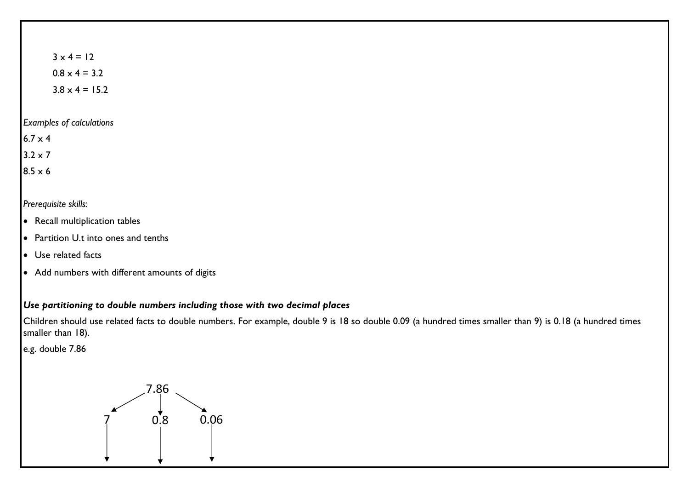$3 \times 4 = 12$  $0.8 \times 4 = 3.2$  $3.8 \times 4 = 15.2$ 

*Examples of calculations*

 $6.7 \times 4$ 

 $3.2 \times 7$ 

 $8.5 \times 6$ 

*Prerequisite skills:*

- Recall multiplication tables
- Partition U.t into ones and tenths
- Use related facts
- Add numbers with different amounts of digits

## *Use partitioning to double numbers including those with two decimal places*

Children should use related facts to double numbers. For example, double 9 is 18 so double 0.09 (a hundred times smaller than 9) is 0.18 (a hundred times smaller than 18).

e.g. double 7.86

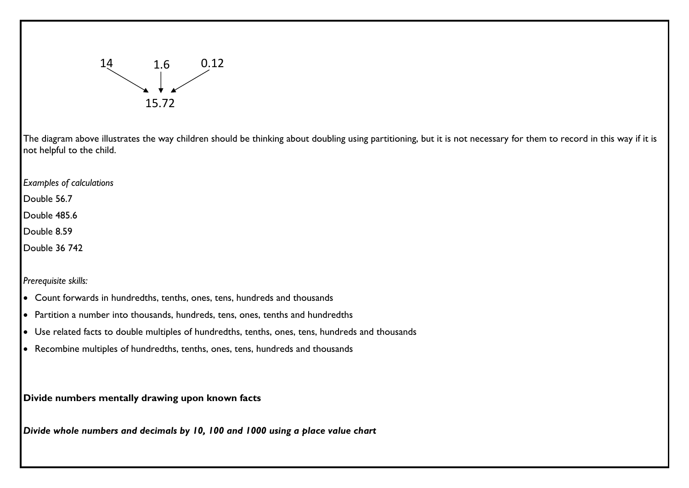

The diagram above illustrates the way children should be thinking about doubling using partitioning, but it is not necessary for them to record in this way if it is not helpful to the child.

*Examples of calculations*

Double 56.7

Double 485.6

Double 8.59

Double 36 742

*Prerequisite skills:*

- Count forwards in hundredths, tenths, ones, tens, hundreds and thousands
- Partition a number into thousands, hundreds, tens, ones, tenths and hundredths
- Use related facts to double multiples of hundredths, tenths, ones, tens, hundreds and thousands
- Recombine multiples of hundredths, tenths, ones, tens, hundreds and thousands

**Divide numbers mentally drawing upon known facts**

*Divide whole numbers and decimals by 10, 100 and 1000 using a place value chart*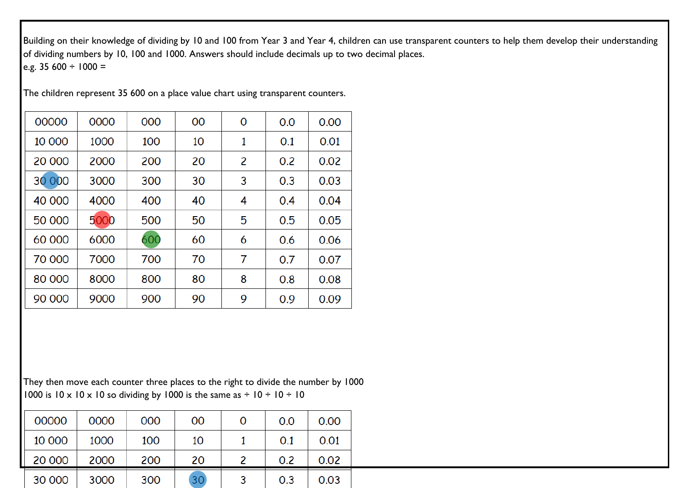Building on their knowledge of dividing by 10 and 100 from Year 3 and Year 4, children can use transparent counters to help them develop their understanding of dividing numbers by 10, 100 and 1000. Answers should include decimals up to two decimal places. e.g. 35 600 ÷ 1000 =

The children represent 35 600 on a place value chart using transparent counters.

| 00000  | 0000 | 000 | 00 | 0 | 0.0 | 0.00 |
|--------|------|-----|----|---|-----|------|
| 10 000 | 1000 | 100 | 10 | 1 | 0.1 | 0.01 |
| 20 000 | 2000 | 200 | 20 | 2 | 0.2 | 0.02 |
| 30 000 | 3000 | 300 | 30 | 3 | 0.3 | 0.03 |
| 40 000 | 4000 | 400 | 40 | 4 | 0.4 | 0.04 |
| 50 000 | 5000 | 500 | 50 | 5 | 0.5 | 0.05 |
| 60 000 | 6000 | 600 | 60 | 6 | 0.6 | 0.06 |
| 70 000 | 7000 | 700 | 70 | 7 | 0.7 | 0.07 |
| 80 000 | 8000 | 800 | 80 | 8 | 0.8 | 0.08 |
| 90 000 | 9000 | 900 | 90 | 9 | 0.9 | 0.09 |

They then move each counter three places to the right to divide the number by 1000 1000 is  $10 \times 10 \times 10$  so dividing by 1000 is the same as  $\div 10 \div 10 \div 10$ 

| 00000  | 0000 | 000 | 00 | 0.0 | 0.00 |
|--------|------|-----|----|-----|------|
| 10 000 | 1000 | 100 | 10 | 0.1 | 0.01 |
| 20 000 | 2000 | 200 | 20 | 0.2 | 0.02 |
| 30 000 | 3000 | 300 | 30 | 0.3 | 0.03 |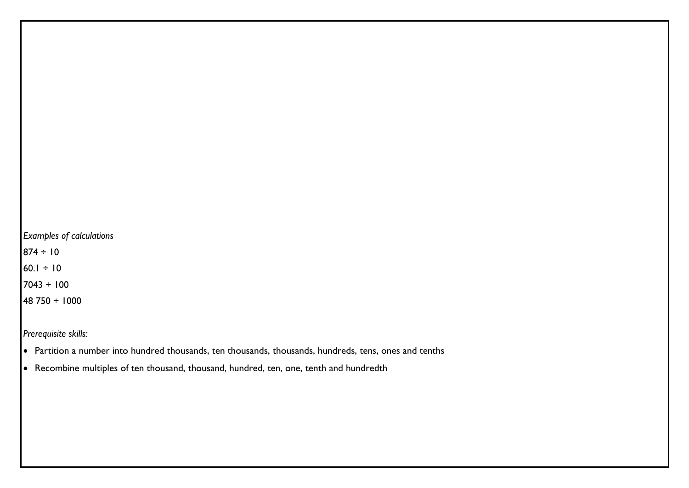*Examples of calculations*

 $874 \div 10$ 

 $60.1 \div 10$ 

7043 ÷ 100

48 750 ÷ 1000

*Prerequisite skills:*

- Partition a number into hundred thousands, ten thousands, thousands, hundreds, tens, ones and tenths
- Recombine multiples of ten thousand, thousand, hundred, ten, one, tenth and hundredth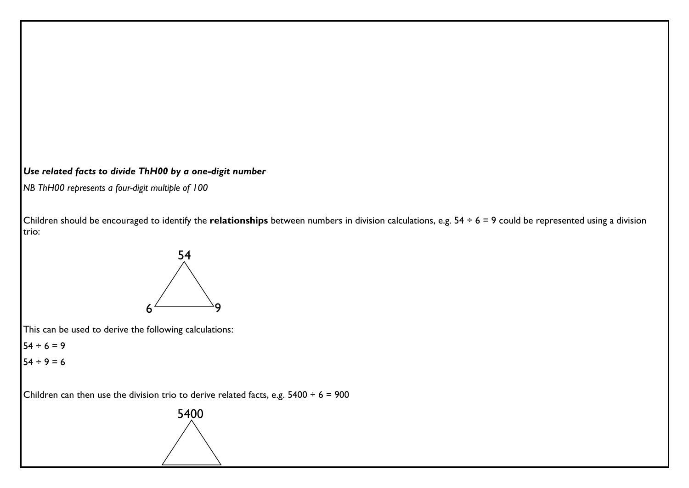#### *Use related facts to divide ThH00 by a one-digit number*

*NB ThH00 represents a four-digit multiple of 100*

Children should be encouraged to identify the **relationships** between numbers in division calculations, e.g. 54 ÷ 6 = 9 could be represented using a division trio:



This can be used to derive the following calculations:

 $54 \div 6 = 9$ 

 $54 \div 9 = 6$ 

Children can then use the division trio to derive related facts, e.g.  $5400 \div 6 = 900$ 

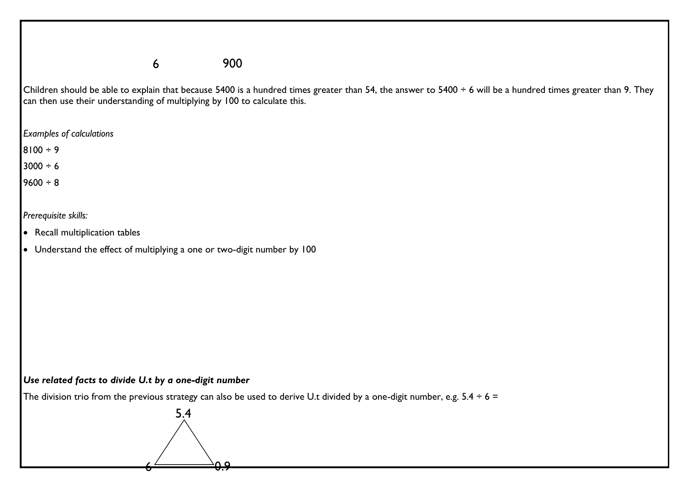# 6 900

Children should be able to explain that because 5400 is a hundred times greater than 54, the answer to 5400  $\div$  6 will be a hundred times greater than 9. They can then use their understanding of multiplying by 100 to calculate this.

*Examples of calculations*

 $8100 \div 9$ 

 $3000 \div 6$ 

 $9600 \div 8$ 

#### *Prerequisite skills:*

- Recall multiplication tables
- Understand the effect of multiplying a one or two-digit number by 100

## *Use related facts to divide U.t by a one-digit number*

The division trio from the previous strategy can also be used to derive U.t divided by a one-digit number, e.g.  $5.4 \div 6 =$ 

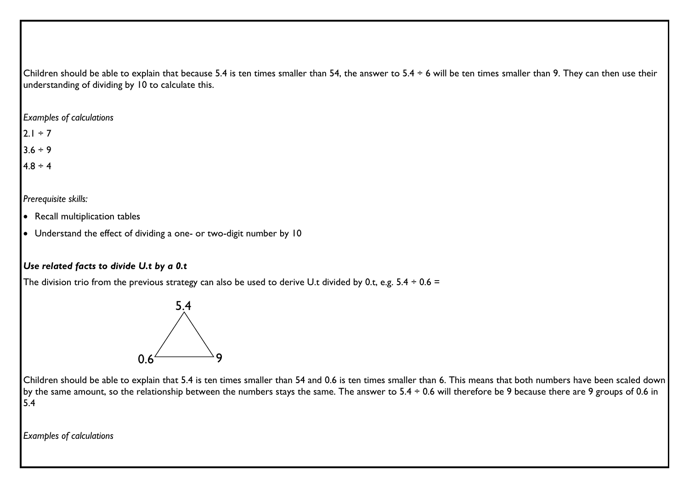Children should be able to explain that because 5.4 is ten times smaller than 54, the answer to  $5.4 \div 6$  will be ten times smaller than 9. They can then use their understanding of dividing by 10 to calculate this.

*Examples of calculations*

 $2.1 \div 7$ 

 $3.6 \div 9$ 

 $14.8 \div 4$ 

*Prerequisite skills:*

- Recall multiplication tables
- Understand the effect of dividing a one- or two-digit number by 10

## *Use related facts to divide U.t by a 0.t*

The division trio from the previous strategy can also be used to derive U.t divided by 0.t, e.g.  $5.4 \div 0.6 =$ 



Children should be able to explain that 5.4 is ten times smaller than 54 and 0.6 is ten times smaller than 6. This means that both numbers have been scaled down by the same amount, so the relationship between the numbers stays the same. The answer to  $5.4 \div 0.6$  will therefore be 9 because there are 9 groups of 0.6 in 5.4

*Examples of calculations*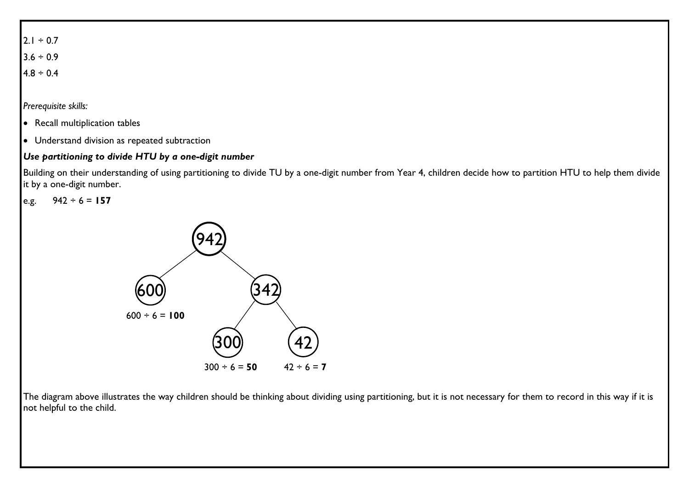$2.1 \div 0.7$ 

 $3.6 \div 0.9$ 

 $4.8 \div 0.4$ 

*Prerequisite skills:*

- Recall multiplication tables
- Understand division as repeated subtraction

## *Use partitioning to divide HTU by a one-digit number*

Building on their understanding of using partitioning to divide TU by a one-digit number from Year 4, children decide how to partition HTU to help them divide it by a one-digit number.



The diagram above illustrates the way children should be thinking about dividing using partitioning, but it is not necessary for them to record in this way if it is not helpful to the child.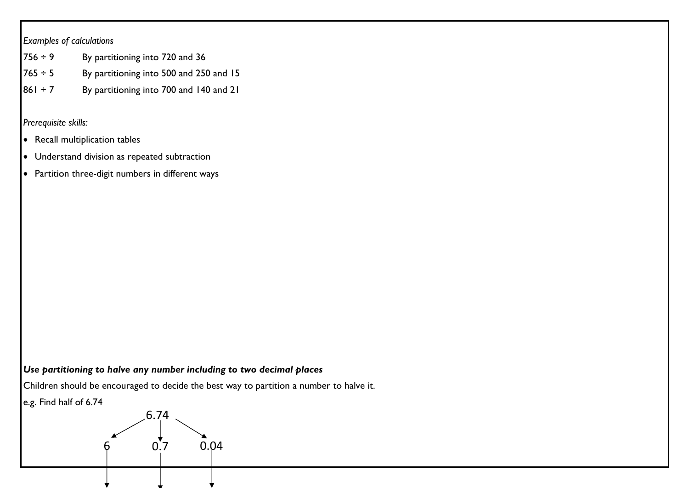*Examples of calculations*

- $756 \div 9$  By partitioning into 720 and 36
- $765 \div 5$  By partitioning into 500 and 250 and 15
- $861 \div 7$  By partitioning into 700 and 140 and 21

*Prerequisite skills:*

- Recall multiplication tables
- Understand division as repeated subtraction
- Partition three-digit numbers in different ways

## *Use partitioning to halve any number including to two decimal places*

Children should be encouraged to decide the best way to partition a number to halve it.

e.g. Find half of 6.74

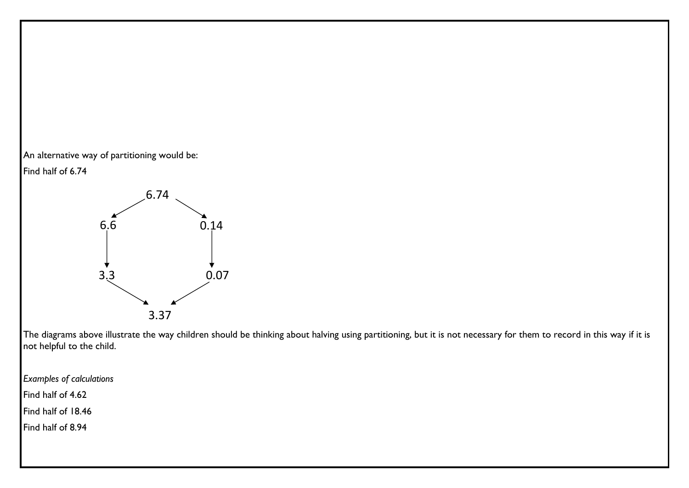An alternative way of partitioning would be:

Find half of 6.74



The diagrams above illustrate the way children should be thinking about halving using partitioning, but it is not necessary for them to record in this way if it is not helpful to the child.

*Examples of calculations*

Find half of 4.62

Find half of 18.46

Find half of 8.94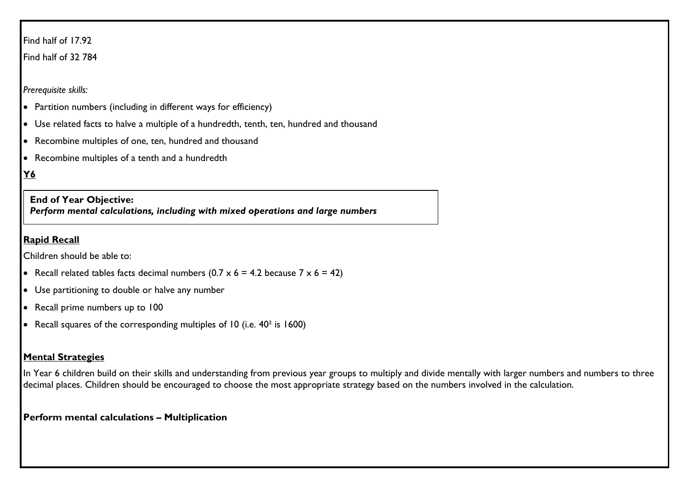Find half of 17.92

Find half of 32 784

#### *Prerequisite skills:*

- Partition numbers (including in different ways for efficiency)
- Use related facts to halve a multiple of a hundredth, tenth, ten, hundred and thousand
- Recombine multiples of one, ten, hundred and thousand
- Recombine multiples of a tenth and a hundredth

## **Y6**

**End of Year Objective:** *Perform mental calculations, including with mixed operations and large numbers*

## **Rapid Recall**

Children should be able to:

- Recall related tables facts decimal numbers  $(0.7 \times 6 = 4.2)$  because  $7 \times 6 = 42$ )
- Use partitioning to double or halve any number
- Recall prime numbers up to 100
- Recall squares of the corresponding multiples of 10 (i.e. 40² is 1600)

# **Mental Strategies**

In Year 6 children build on their skills and understanding from previous year groups to multiply and divide mentally with larger numbers and numbers to three decimal places. Children should be encouraged to choose the most appropriate strategy based on the numbers involved in the calculation.

**Perform mental calculations – Multiplication**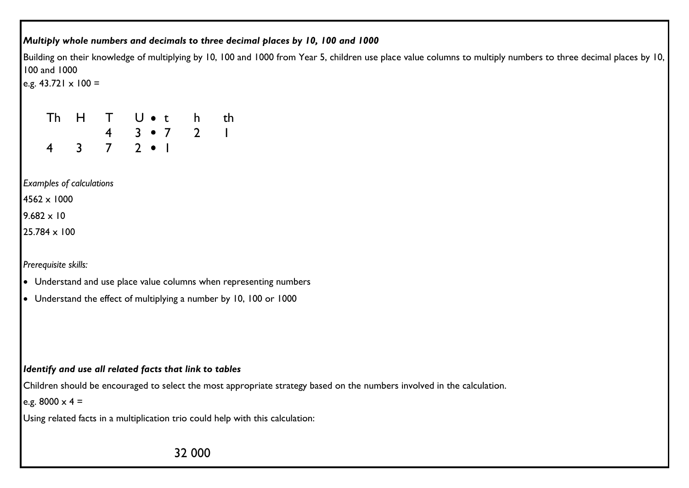|                                                        |                |                     |  |                               | Multiply whole numbers and decimals to three decimal places by 10, 100 and 1000                                                                                 |
|--------------------------------------------------------|----------------|---------------------|--|-------------------------------|-----------------------------------------------------------------------------------------------------------------------------------------------------------------|
|                                                        |                |                     |  |                               | Building on their knowledge of multiplying by 10, 100 and 1000 from Year 5, children use place value columns to multiply numbers to three decimal places by 10, |
| 100 and 1000                                           |                |                     |  |                               |                                                                                                                                                                 |
| e.g. $43.721 \times 100 =$                             |                |                     |  |                               |                                                                                                                                                                 |
|                                                        |                | The H T U $\cdot$ t |  |                               | h th                                                                                                                                                            |
|                                                        |                |                     |  | $4$ $3$ $\bullet$ $7$ $2$ $1$ |                                                                                                                                                                 |
| $\overline{4}$                                         | $\overline{3}$ | $72 \cdot 1$        |  |                               |                                                                                                                                                                 |
| <b>Examples of calculations</b>                        |                |                     |  |                               |                                                                                                                                                                 |
| 4562 x 1000                                            |                |                     |  |                               |                                                                                                                                                                 |
| $9.682 \times 10$                                      |                |                     |  |                               |                                                                                                                                                                 |
| 25.784 x 100                                           |                |                     |  |                               |                                                                                                                                                                 |
|                                                        |                |                     |  |                               |                                                                                                                                                                 |
| Prerequisite skills:                                   |                |                     |  |                               |                                                                                                                                                                 |
|                                                        |                |                     |  |                               | • Understand and use place value columns when representing numbers                                                                                              |
|                                                        |                |                     |  |                               | • Understand the effect of multiplying a number by 10, 100 or 1000                                                                                              |
|                                                        |                |                     |  |                               |                                                                                                                                                                 |
|                                                        |                |                     |  |                               |                                                                                                                                                                 |
| Identify and use all related facts that link to tables |                |                     |  |                               |                                                                                                                                                                 |
|                                                        |                |                     |  |                               | Children should be encouraged to select the most appropriate strategy based on the numbers involved in the calculation.                                         |
| e.g. $8000 \times 4 =$                                 |                |                     |  |                               |                                                                                                                                                                 |
|                                                        |                |                     |  |                               | Using related facts in a multiplication trio could help with this calculation:                                                                                  |
|                                                        |                |                     |  | 32 000                        |                                                                                                                                                                 |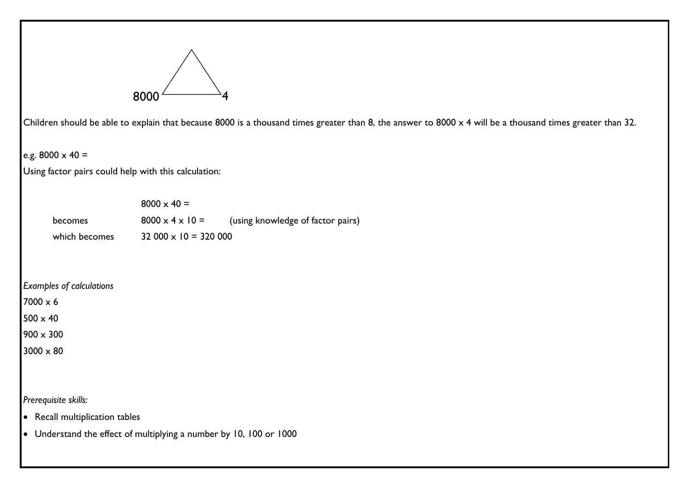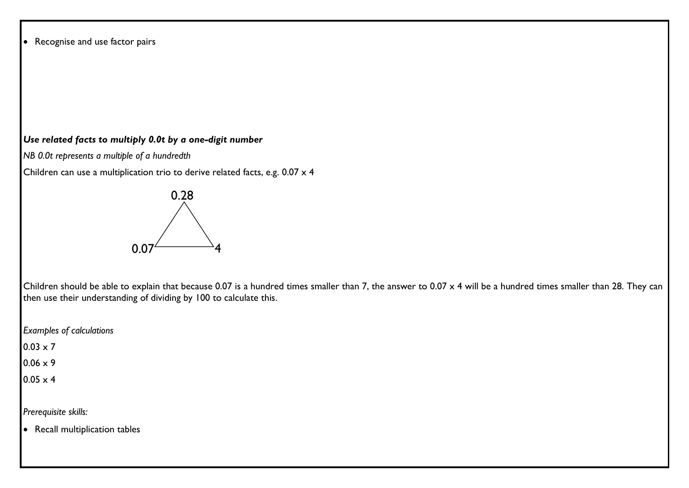## *Use related facts to multiply 0.0t by a one-digit number*

*NB 0.0t represents a multiple of a hundredth*

Children can use a multiplication trio to derive related facts, e.g. 0.07 x 4



Children should be able to explain that because 0.07 is a hundred times smaller than 7, the answer to 0.07 x 4 will be a hundred times smaller than 28. They can then use their understanding of dividing by 100 to calculate this.

*Examples of calculations*

 $0.03 \times 7$ 

 $0.06 \times 9$ 

 $0.05 \times 4$ 

*Prerequisite skills:*

• Recall multiplication tables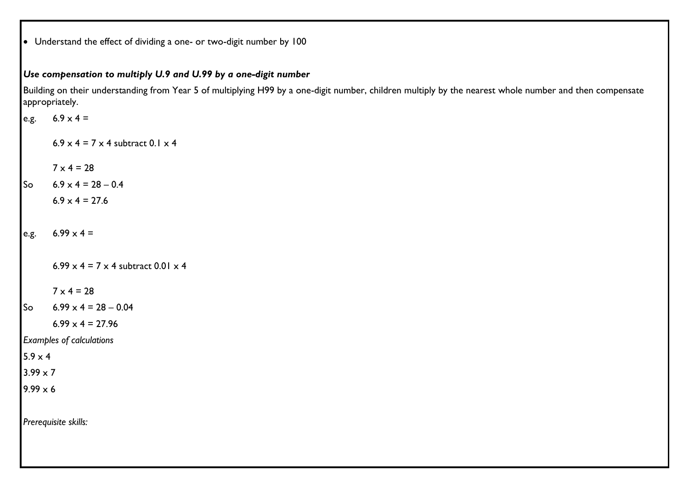• Understand the effect of dividing a one- or two-digit number by 100

#### *Use compensation to multiply U.9 and U.99 by a one-digit number*

Building on their understanding from Year 5 of multiplying H99 by a one-digit number, children multiply by the nearest whole number and then compensate appropriately.

```
e.g. 6.9 \times 4 =6.9 \times 4 = 7 \times 4 subtract 0.1 \times 4
         7 \times 4 = 28So 6.9 \times 4 = 28 - 0.46.9 \times 4 = 27.6e.g. 6.99 \times 4 =6.99 \times 4 = 7 \times 4 subtract 0.01 \times 4
         7 \times 4 = 28\text{So} \qquad 6.99 \times 4 = 28 - 0.046.99 \times 4 = 27.96Examples of calculations
5.9 \times 43.99 \times 79.99 \times 6Prerequisite skills:
```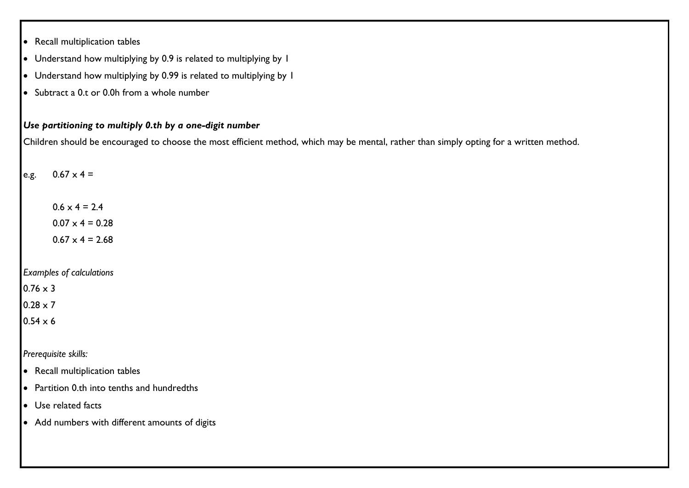- Recall multiplication tables
- Understand how multiplying by 0.9 is related to multiplying by 1
- Understand how multiplying by 0.99 is related to multiplying by 1
- Subtract a 0.t or 0.0h from a whole number

#### *Use partitioning to multiply 0.th by a one-digit number*

Children should be encouraged to choose the most efficient method, which may be mental, rather than simply opting for a written method.

e.g.  $0.67 \times 4 =$  $0.6 \times 4 = 2.4$  $0.07 \times 4 = 0.28$  $0.67 \times 4 = 2.68$ *Examples of calculations*  $0.76 \times 3$  $0.28 \times 7$  $0.54 \times 6$ *Prerequisite skills:* • Recall multiplication tables • Partition 0.th into tenths and hundredths • Use related facts • Add numbers with different amounts of digits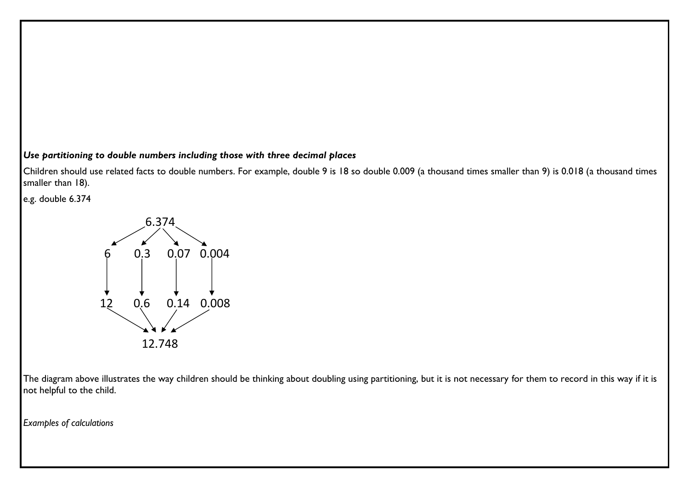#### *Use partitioning to double numbers including those with three decimal places*

Children should use related facts to double numbers. For example, double 9 is 18 so double 0.009 (a thousand times smaller than 9) is 0.018 (a thousand times smaller than 18).

e.g. double 6.374



The diagram above illustrates the way children should be thinking about doubling using partitioning, but it is not necessary for them to record in this way if it is not helpful to the child.

*Examples of calculations*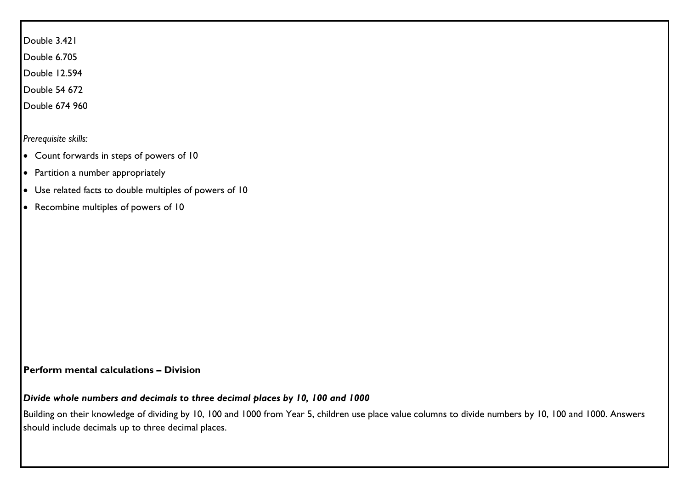Double 3.421

Double 6.705

Double 12.594

Double 54 672

Double 674 960

*Prerequisite skills:*

- Count forwards in steps of powers of 10
- Partition a number appropriately
- Use related facts to double multiples of powers of 10
- Recombine multiples of powers of 10

### **Perform mental calculations – Division**

## *Divide whole numbers and decimals to three decimal places by 10, 100 and 1000*

Building on their knowledge of dividing by 10, 100 and 1000 from Year 5, children use place value columns to divide numbers by 10, 100 and 1000. Answers should include decimals up to three decimal places.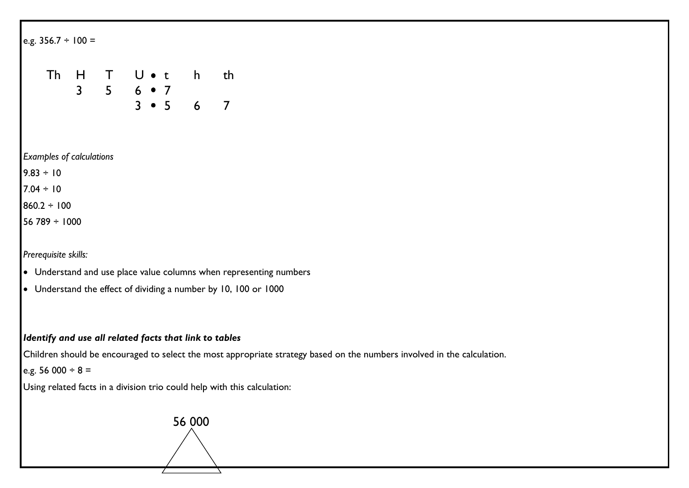

Children should be encouraged to select the most appropriate strategy based on the numbers involved in the calculation.

e.g. 56 000  $\div$  8 =

Using related facts in a division trio could help with this calculation:

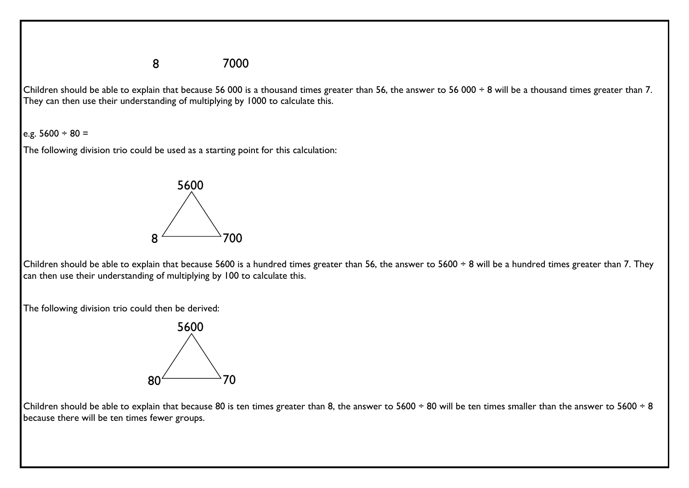# 8 7000

Children should be able to explain that because 56 000 is a thousand times greater than 56, the answer to 56 000  $\div$  8 will be a thousand times greater than 7. They can then use their understanding of multiplying by 1000 to calculate this.

e.g.  $5600 \div 80 =$ 

The following division trio could be used as a starting point for this calculation:



Children should be able to explain that because 5600 is a hundred times greater than 56, the answer to 5600  $\div$  8 will be a hundred times greater than 7. They can then use their understanding of multiplying by 100 to calculate this.

The following division trio could then be derived:



Children should be able to explain that because 80 is ten times greater than 8, the answer to 5600  $\div$  80 will be ten times smaller than the answer to 5600  $\div$  8 because there will be ten times fewer groups.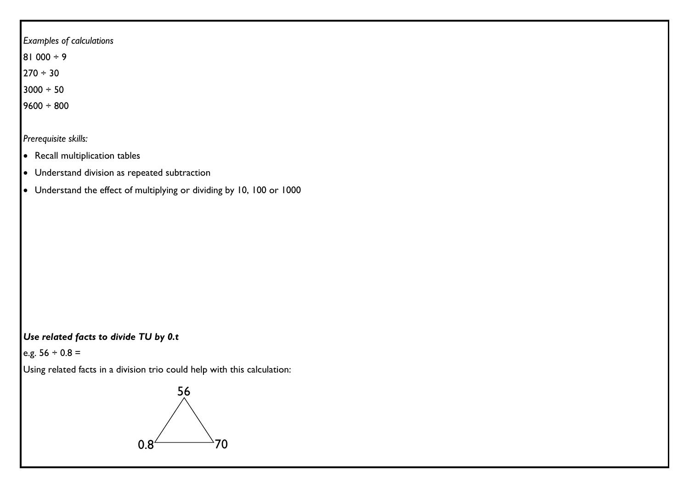*Examples of calculations*

 $81000 \div 9$ 

 $270 \div 30$ 

 $3000 \div 50$ 

 $9600 \div 800$ 

*Prerequisite skills:*

- Recall multiplication tables
- Understand division as repeated subtraction
- Understand the effect of multiplying or dividing by 10, 100 or 1000

# *Use related facts to divide TU by 0.t*

e.g.  $56 \div 0.8 =$ 

Using related facts in a division trio could help with this calculation:

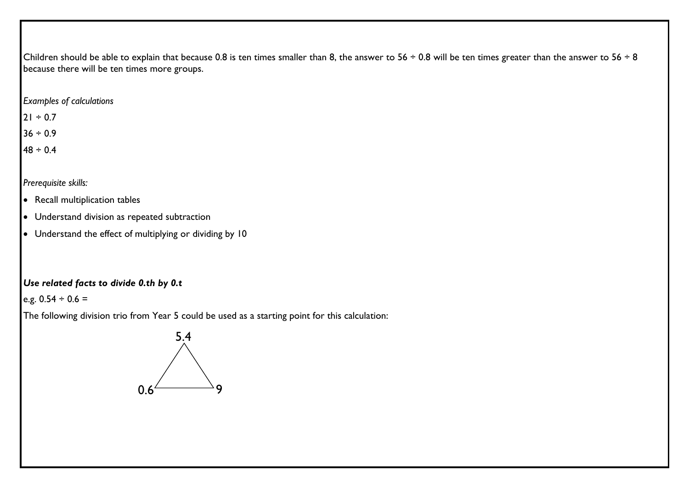Children should be able to explain that because 0.8 is ten times smaller than 8, the answer to 56 ÷ 0.8 will be ten times greater than the answer to 56 ÷ 8 because there will be ten times more groups.

#### *Examples of calculations*

 $21 \div 0.7$ 

 $36 \div 0.9$ 

 $48 \div 0.4$ 

*Prerequisite skills:*

- Recall multiplication tables
- Understand division as repeated subtraction
- Understand the effect of multiplying or dividing by 10

## *Use related facts to divide 0.th by 0.t*

e.g.  $0.54 \div 0.6 =$ 

The following division trio from Year 5 could be used as a starting point for this calculation:

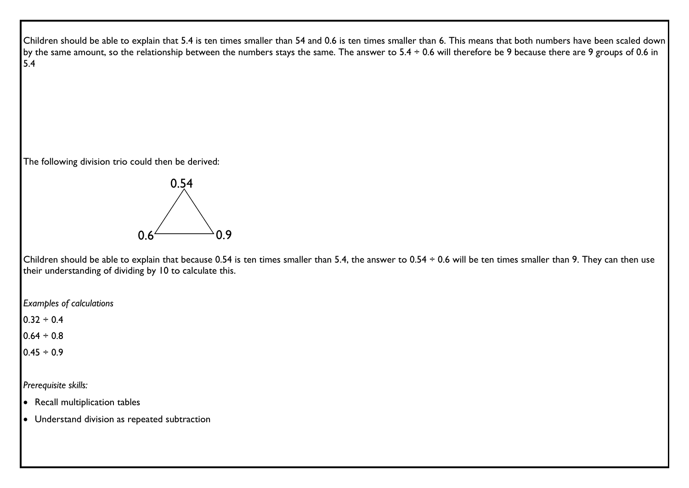Children should be able to explain that 5.4 is ten times smaller than 54 and 0.6 is ten times smaller than 6. This means that both numbers have been scaled down by the same amount, so the relationship between the numbers stays the same. The answer to  $5.4 \div 0.6$  will therefore be 9 because there are 9 groups of 0.6 in 5.4

The following division trio could then be derived:



Children should be able to explain that because 0.54 is ten times smaller than 5.4, the answer to 0.54  $\div$  0.6 will be ten times smaller than 9. They can then use their understanding of dividing by 10 to calculate this.

*Examples of calculations*

 $0.32 \div 0.4$ 

 $0.64 \div 0.8$ 

 $0.45 \div 0.9$ 

*Prerequisite skills:*

- Recall multiplication tables
- Understand division as repeated subtraction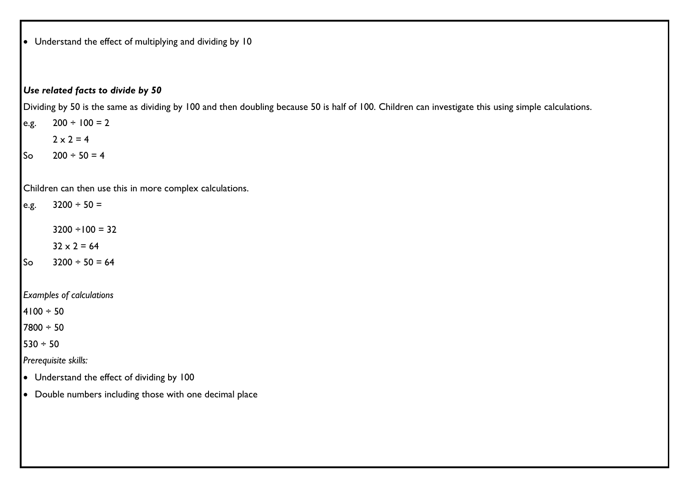• Understand the effect of multiplying and dividing by 10

### *Use related facts to divide by 50*

Dividing by 50 is the same as dividing by 100 and then doubling because 50 is half of 100. Children can investigate this using simple calculations.

e.g.  $200 \div 100 = 2$  $2 \times 2 = 4$  $\text{So}$  200 ÷ 50 = 4 Children can then use this in more complex calculations. e.g.  $3200 \div 50 =$  $3200 \div 100 = 32$  $32 \times 2 = 64$  $\text{So} \qquad 3200 \div 50 = 64$ *Examples of calculations*  $4100 \div 50$  $7800 \div 50$  $530 \div 50$ *Prerequisite skills:* • Understand the effect of dividing by 100 • Double numbers including those with one decimal place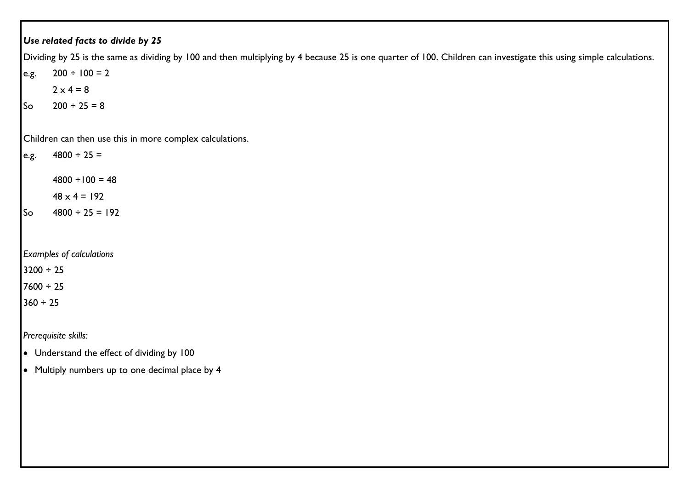### *Use related facts to divide by 25*

Dividing by 25 is the same as dividing by 100 and then multiplying by 4 because 25 is one quarter of 100. Children can investigate this using simple calculations.

e.g.  $200 \div 100 = 2$  $2 \times 4 = 8$  $\text{So}$  200 ÷ 25 = 8

Children can then use this in more complex calculations.

e.g.  $4800 \div 25 =$  $4800 \div 100 = 48$  $48 \times 4 = 192$ So  $4800 \div 25 = 192$ 

*Examples of calculations*

 $3200 \div 25$ 

 $7600 \div 25$ 

 $360 \div 25$ 

*Prerequisite skills:*

- Understand the effect of dividing by 100
- Multiply numbers up to one decimal place by 4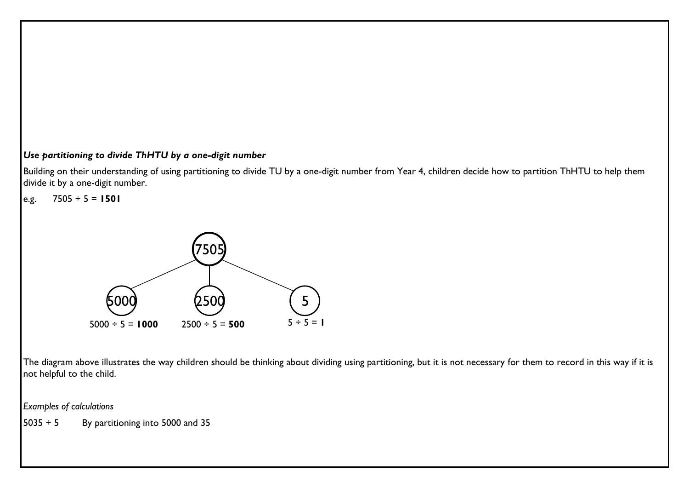#### *Use partitioning to divide ThHTU by a one-digit number*

Building on their understanding of using partitioning to divide TU by a one-digit number from Year 4, children decide how to partition ThHTU to help them divide it by a one-digit number.



The diagram above illustrates the way children should be thinking about dividing using partitioning, but it is not necessary for them to record in this way if it is not helpful to the child.

*Examples of calculations*

 $5035 \div 5$  By partitioning into 5000 and 35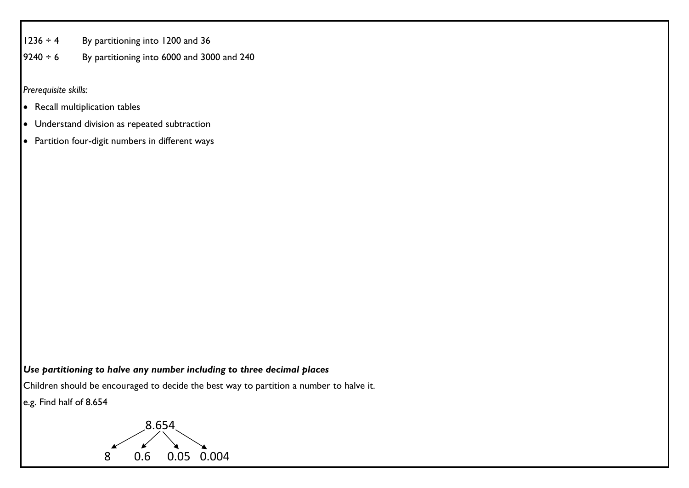- $1236 \div 4$  By partitioning into 1200 and 36
- 9240  $\div$  6 By partitioning into 6000 and 3000 and 240

*Prerequisite skills:*

- Recall multiplication tables
- Understand division as repeated subtraction
- Partition four-digit numbers in different ways

## *Use partitioning to halve any number including to three decimal places*

Children should be encouraged to decide the best way to partition a number to halve it.

e.g. Find half of 8.654

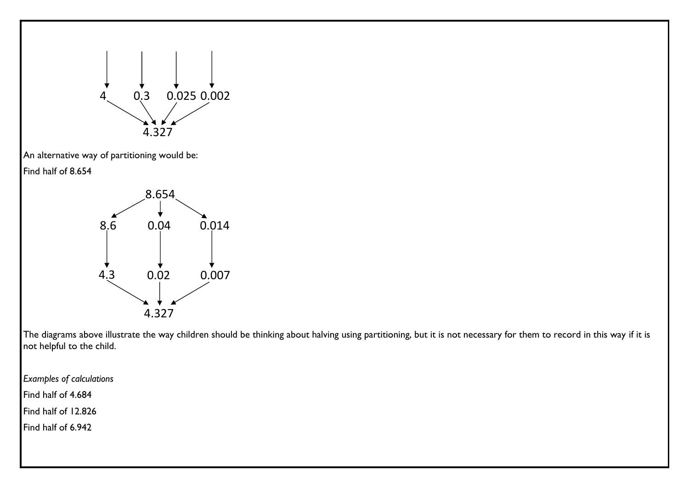

An alternative way of partitioning would be:

Find half of 8.654



The diagrams above illustrate the way children should be thinking about halving using partitioning, but it is not necessary for them to record in this way if it is not helpful to the child.

*Examples of calculations*

Find half of 4.684

Find half of 12.826

Find half of 6.942